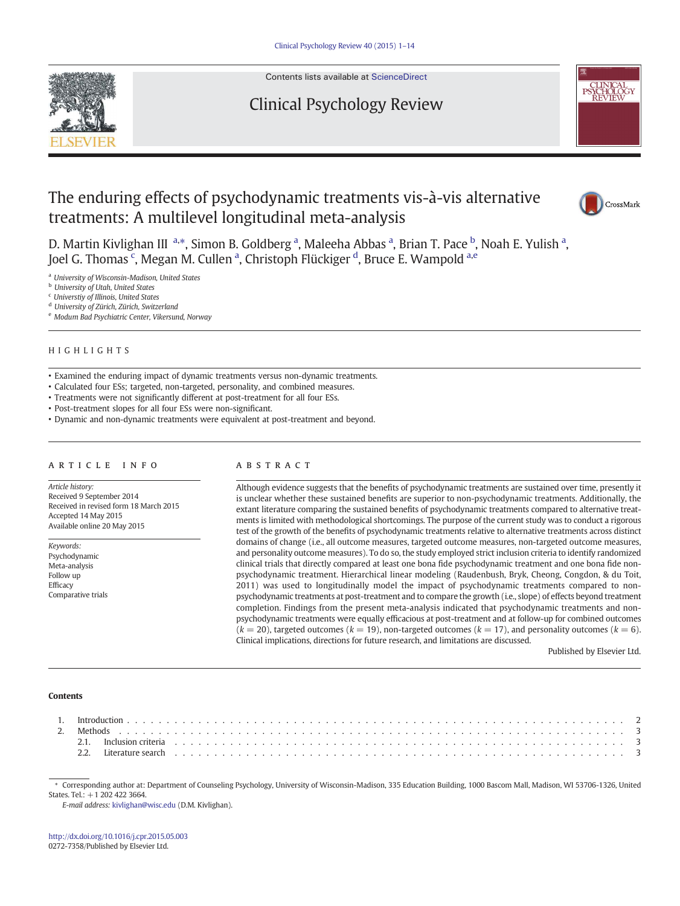

Contents lists available at ScienceDirect

# Clinical Psychology Review



# The enduring effects of psychodynamic treatments vis-à-vis alternative treatments: A multilevel longitudinal meta-analysis



D. Martin Kivlighan III<sup>a,\*</sup>, Simon B. Goldberg<sup>a</sup>, Maleeha Abbas<sup>a</sup>, Brian T. Pace <sup>b</sup>, Noah E. Yulish<sup>a</sup>, Joel G. Thomas  $^{\mathrm{c}}$ , Megan M. Cullen <sup>a</sup>, Christoph Flückiger <sup>d</sup>, Bruce E. Wampold <sup>a,e</sup>

<sup>a</sup> University of Wisconsin-Madison, United States

**b** University of Utah, United States

<sup>c</sup> Universtiy of Illinois, United States

<sup>d</sup> University of Zürich, Zürich, Switzerland

<sup>e</sup> Modum Bad Psychiatric Center, Vikersund, Norway

# HIGHLIGHTS

- Examined the enduring impact of dynamic treatments versus non-dynamic treatments.
- Calculated four ESs; targeted, non-targeted, personality, and combined measures.
- Treatments were not significantly different at post-treatment for all four ESs.
- Post-treatment slopes for all four ESs were non-significant.
- Dynamic and non-dynamic treatments were equivalent at post-treatment and beyond.

# article info abstract

Article history: Received 9 September 2014 Received in revised form 18 March 2015 Accepted 14 May 2015 Available online 20 May 2015

Keywords: Psychodynamic Meta-analysis Follow up Efficacy Comparative trials

Although evidence suggests that the benefits of psychodynamic treatments are sustained over time, presently it is unclear whether these sustained benefits are superior to non-psychodynamic treatments. Additionally, the extant literature comparing the sustained benefits of psychodynamic treatments compared to alternative treatments is limited with methodological shortcomings. The purpose of the current study was to conduct a rigorous test of the growth of the benefits of psychodynamic treatments relative to alternative treatments across distinct domains of change (i.e., all outcome measures, targeted outcome measures, non-targeted outcome measures, and personality outcome measures). To do so, the study employed strict inclusion criteria to identify randomized clinical trials that directly compared at least one bona fide psychodynamic treatment and one bona fide nonpsychodynamic treatment. Hierarchical linear modeling (Raudenbush, Bryk, Cheong, Congdon, & du Toit, 2011) was used to longitudinally model the impact of psychodynamic treatments compared to nonpsychodynamic treatments at post-treatment and to compare the growth (i.e., slope) of effects beyond treatment completion. Findings from the present meta-analysis indicated that psychodynamic treatments and nonpsychodynamic treatments were equally efficacious at post-treatment and at follow-up for combined outcomes  $(k = 20)$ , targeted outcomes  $(k = 19)$ , non-targeted outcomes  $(k = 17)$ , and personality outcomes  $(k = 6)$ . Clinical implications, directions for future research, and limitations are discussed.

Published by Elsevier Ltd.

#### **Contents**

⁎ Corresponding author at: Department of Counseling Psychology, University of Wisconsin-Madison, 335 Education Building, 1000 Bascom Mall, Madison, WI 53706-1326, United States. Tel.: +1 202 422 3664.

E-mail address: kivlighan@wisc.edu (D.M. Kivlighan).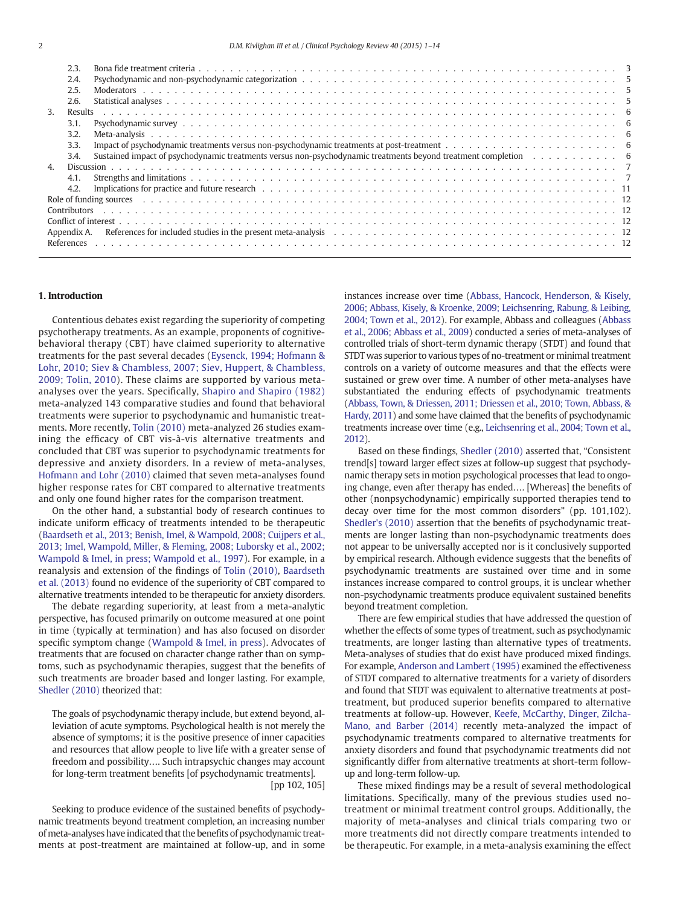|              | 2.3.         |                                                                                                                |
|--------------|--------------|----------------------------------------------------------------------------------------------------------------|
|              | 2.4.         |                                                                                                                |
|              | 2.5.         |                                                                                                                |
|              | 2.6.         |                                                                                                                |
| 3.           | Results      |                                                                                                                |
|              | 3.1.         |                                                                                                                |
|              | 3.2.         |                                                                                                                |
|              | 3.3.         |                                                                                                                |
|              | 3.4.         | Sustained impact of psychodynamic treatments versus non-psychodynamic treatments beyond treatment completion 6 |
| $\mathbf{A}$ |              |                                                                                                                |
|              | 4.1.         |                                                                                                                |
|              | 4.2.         |                                                                                                                |
|              |              |                                                                                                                |
|              | Contributors |                                                                                                                |
|              |              |                                                                                                                |
|              | Appendix A.  |                                                                                                                |
|              |              |                                                                                                                |
|              |              |                                                                                                                |

# 1. Introduction

Contentious debates exist regarding the superiority of competing psychotherapy treatments. As an example, proponents of cognitivebehavioral therapy (CBT) have claimed superiority to alternative treatments for the past several decades (Eysenck, 1994; Hofmann & Lohr, 2010; Siev & Chambless, 2007; Siev, Huppert, & Chambless, 2009; Tolin, 2010). These claims are supported by various metaanalyses over the years. Specifically, Shapiro and Shapiro (1982) meta-analyzed 143 comparative studies and found that behavioral treatments were superior to psychodynamic and humanistic treatments. More recently, Tolin (2010) meta-analyzed 26 studies examining the efficacy of CBT vis-à-vis alternative treatments and concluded that CBT was superior to psychodynamic treatments for depressive and anxiety disorders. In a review of meta-analyses, Hofmann and Lohr (2010) claimed that seven meta-analyses found higher response rates for CBT compared to alternative treatments and only one found higher rates for the comparison treatment.

On the other hand, a substantial body of research continues to indicate uniform efficacy of treatments intended to be therapeutic (Baardseth et al., 2013; Benish, Imel, & Wampold, 2008; Cuijpers et al., 2013; Imel, Wampold, Miller, & Fleming, 2008; Luborsky et al., 2002; Wampold & Imel, in press; Wampold et al., 1997). For example, in a reanalysis and extension of the findings of Tolin (2010), Baardseth et al. (2013) found no evidence of the superiority of CBT compared to alternative treatments intended to be therapeutic for anxiety disorders.

The debate regarding superiority, at least from a meta-analytic perspective, has focused primarily on outcome measured at one point in time (typically at termination) and has also focused on disorder specific symptom change (Wampold & Imel, in press). Advocates of treatments that are focused on character change rather than on symptoms, such as psychodynamic therapies, suggest that the benefits of such treatments are broader based and longer lasting. For example, Shedler (2010) theorized that:

The goals of psychodynamic therapy include, but extend beyond, alleviation of acute symptoms. Psychological health is not merely the absence of symptoms; it is the positive presence of inner capacities and resources that allow people to live life with a greater sense of freedom and possibility…. Such intrapsychic changes may account for long-term treatment benefits [of psychodynamic treatments]. [pp 102, 105]

Seeking to produce evidence of the sustained benefits of psychodynamic treatments beyond treatment completion, an increasing number of meta-analyses have indicated that the benefits of psychodynamic treatments at post-treatment are maintained at follow-up, and in some instances increase over time (Abbass, Hancock, Henderson, & Kisely, 2006; Abbass, Kisely, & Kroenke, 2009; Leichsenring, Rabung, & Leibing, 2004; Town et al., 2012). For example, Abbass and colleagues (Abbass et al., 2006; Abbass et al., 2009) conducted a series of meta-analyses of controlled trials of short-term dynamic therapy (STDT) and found that STDT was superior to various types of no-treatment or minimal treatment controls on a variety of outcome measures and that the effects were sustained or grew over time. A number of other meta-analyses have substantiated the enduring effects of psychodynamic treatments (Abbass, Town, & Driessen, 2011; Driessen et al., 2010; Town, Abbass, & Hardy, 2011) and some have claimed that the benefits of psychodynamic treatments increase over time (e.g., Leichsenring et al., 2004; Town et al., 2012).

Based on these findings, Shedler (2010) asserted that, "Consistent trend[s] toward larger effect sizes at follow-up suggest that psychodynamic therapy sets in motion psychological processes that lead to ongoing change, even after therapy has ended…. [Whereas] the benefits of other (nonpsychodynamic) empirically supported therapies tend to decay over time for the most common disorders" (pp. 101,102). Shedler's (2010) assertion that the benefits of psychodynamic treatments are longer lasting than non-psychodynamic treatments does not appear to be universally accepted nor is it conclusively supported by empirical research. Although evidence suggests that the benefits of psychodynamic treatments are sustained over time and in some instances increase compared to control groups, it is unclear whether non-psychodynamic treatments produce equivalent sustained benefits beyond treatment completion.

There are few empirical studies that have addressed the question of whether the effects of some types of treatment, such as psychodynamic treatments, are longer lasting than alternative types of treatments. Meta-analyses of studies that do exist have produced mixed findings. For example, Anderson and Lambert (1995) examined the effectiveness of STDT compared to alternative treatments for a variety of disorders and found that STDT was equivalent to alternative treatments at posttreatment, but produced superior benefits compared to alternative treatments at follow-up. However, Keefe, McCarthy, Dinger, Zilcha-Mano, and Barber (2014) recently meta-analyzed the impact of psychodynamic treatments compared to alternative treatments for anxiety disorders and found that psychodynamic treatments did not significantly differ from alternative treatments at short-term followup and long-term follow-up.

These mixed findings may be a result of several methodological limitations. Specifically, many of the previous studies used notreatment or minimal treatment control groups. Additionally, the majority of meta-analyses and clinical trials comparing two or more treatments did not directly compare treatments intended to be therapeutic. For example, in a meta-analysis examining the effect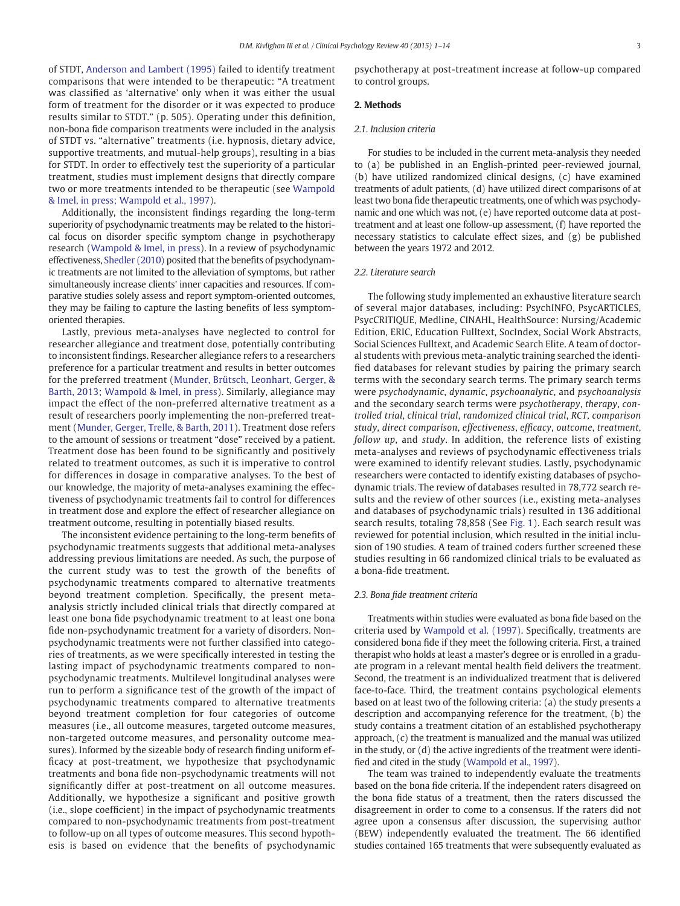of STDT, Anderson and Lambert (1995) failed to identify treatment comparisons that were intended to be therapeutic: "A treatment was classified as 'alternative' only when it was either the usual form of treatment for the disorder or it was expected to produce results similar to STDT." (p. 505). Operating under this definition, non-bona fide comparison treatments were included in the analysis of STDT vs. "alternative" treatments (i.e. hypnosis, dietary advice, supportive treatments, and mutual-help groups), resulting in a bias for STDT. In order to effectively test the superiority of a particular treatment, studies must implement designs that directly compare two or more treatments intended to be therapeutic (see Wampold & Imel, in press; Wampold et al., 1997).

Additionally, the inconsistent findings regarding the long-term superiority of psychodynamic treatments may be related to the historical focus on disorder specific symptom change in psychotherapy research (Wampold & Imel, in press). In a review of psychodynamic effectiveness, Shedler (2010) posited that the benefits of psychodynamic treatments are not limited to the alleviation of symptoms, but rather simultaneously increase clients' inner capacities and resources. If comparative studies solely assess and report symptom-oriented outcomes, they may be failing to capture the lasting benefits of less symptomoriented therapies.

Lastly, previous meta-analyses have neglected to control for researcher allegiance and treatment dose, potentially contributing to inconsistent findings. Researcher allegiance refers to a researchers preference for a particular treatment and results in better outcomes for the preferred treatment (Munder, Brütsch, Leonhart, Gerger, & Barth, 2013; Wampold & Imel, in press). Similarly, allegiance may impact the effect of the non-preferred alternative treatment as a result of researchers poorly implementing the non-preferred treatment (Munder, Gerger, Trelle, & Barth, 2011). Treatment dose refers to the amount of sessions or treatment "dose" received by a patient. Treatment dose has been found to be significantly and positively related to treatment outcomes, as such it is imperative to control for differences in dosage in comparative analyses. To the best of our knowledge, the majority of meta-analyses examining the effectiveness of psychodynamic treatments fail to control for differences in treatment dose and explore the effect of researcher allegiance on treatment outcome, resulting in potentially biased results.

The inconsistent evidence pertaining to the long-term benefits of psychodynamic treatments suggests that additional meta-analyses addressing previous limitations are needed. As such, the purpose of the current study was to test the growth of the benefits of psychodynamic treatments compared to alternative treatments beyond treatment completion. Specifically, the present metaanalysis strictly included clinical trials that directly compared at least one bona fide psychodynamic treatment to at least one bona fide non-psychodynamic treatment for a variety of disorders. Nonpsychodynamic treatments were not further classified into categories of treatments, as we were specifically interested in testing the lasting impact of psychodynamic treatments compared to nonpsychodynamic treatments. Multilevel longitudinal analyses were run to perform a significance test of the growth of the impact of psychodynamic treatments compared to alternative treatments beyond treatment completion for four categories of outcome measures (i.e., all outcome measures, targeted outcome measures, non-targeted outcome measures, and personality outcome measures). Informed by the sizeable body of research finding uniform efficacy at post-treatment, we hypothesize that psychodynamic treatments and bona fide non-psychodynamic treatments will not significantly differ at post-treatment on all outcome measures. Additionally, we hypothesize a significant and positive growth (i.e., slope coefficient) in the impact of psychodynamic treatments compared to non-psychodynamic treatments from post-treatment to follow-up on all types of outcome measures. This second hypothesis is based on evidence that the benefits of psychodynamic

psychotherapy at post-treatment increase at follow-up compared to control groups.

# 2. Methods

# 2.1. Inclusion criteria

For studies to be included in the current meta-analysis they needed to (a) be published in an English-printed peer-reviewed journal, (b) have utilized randomized clinical designs, (c) have examined treatments of adult patients, (d) have utilized direct comparisons of at least two bona fide therapeutic treatments, one of which was psychodynamic and one which was not, (e) have reported outcome data at posttreatment and at least one follow-up assessment, (f) have reported the necessary statistics to calculate effect sizes, and (g) be published between the years 1972 and 2012.

### 2.2. Literature search

The following study implemented an exhaustive literature search of several major databases, including: PsychINFO, PsycARTICLES, PsycCRITIQUE, Medline, CINAHL, HealthSource: Nursing/Academic Edition, ERIC, Education Fulltext, SocIndex, Social Work Abstracts, Social Sciences Fulltext, and Academic Search Elite. A team of doctoral students with previous meta-analytic training searched the identified databases for relevant studies by pairing the primary search terms with the secondary search terms. The primary search terms were psychodynamic, dynamic, psychoanalytic, and psychoanalysis and the secondary search terms were psychotherapy, therapy, controlled trial, clinical trial, randomized clinical trial, RCT, comparison study, direct comparison, effectiveness, efficacy, outcome, treatment, follow up, and study. In addition, the reference lists of existing meta-analyses and reviews of psychodynamic effectiveness trials were examined to identify relevant studies. Lastly, psychodynamic researchers were contacted to identify existing databases of psychodynamic trials. The review of databases resulted in 78,772 search results and the review of other sources (i.e., existing meta-analyses and databases of psychodynamic trials) resulted in 136 additional search results, totaling 78,858 (See Fig. 1). Each search result was reviewed for potential inclusion, which resulted in the initial inclusion of 190 studies. A team of trained coders further screened these studies resulting in 66 randomized clinical trials to be evaluated as a bona-fide treatment.

### 2.3. Bona fide treatment criteria

Treatments within studies were evaluated as bona fide based on the criteria used by Wampold et al. (1997). Specifically, treatments are considered bona fide if they meet the following criteria. First, a trained therapist who holds at least a master's degree or is enrolled in a graduate program in a relevant mental health field delivers the treatment. Second, the treatment is an individualized treatment that is delivered face-to-face. Third, the treatment contains psychological elements based on at least two of the following criteria: (a) the study presents a description and accompanying reference for the treatment, (b) the study contains a treatment citation of an established psychotherapy approach, (c) the treatment is manualized and the manual was utilized in the study, or (d) the active ingredients of the treatment were identified and cited in the study (Wampold et al., 1997).

The team was trained to independently evaluate the treatments based on the bona fide criteria. If the independent raters disagreed on the bona fide status of a treatment, then the raters discussed the disagreement in order to come to a consensus. If the raters did not agree upon a consensus after discussion, the supervising author (BEW) independently evaluated the treatment. The 66 identified studies contained 165 treatments that were subsequently evaluated as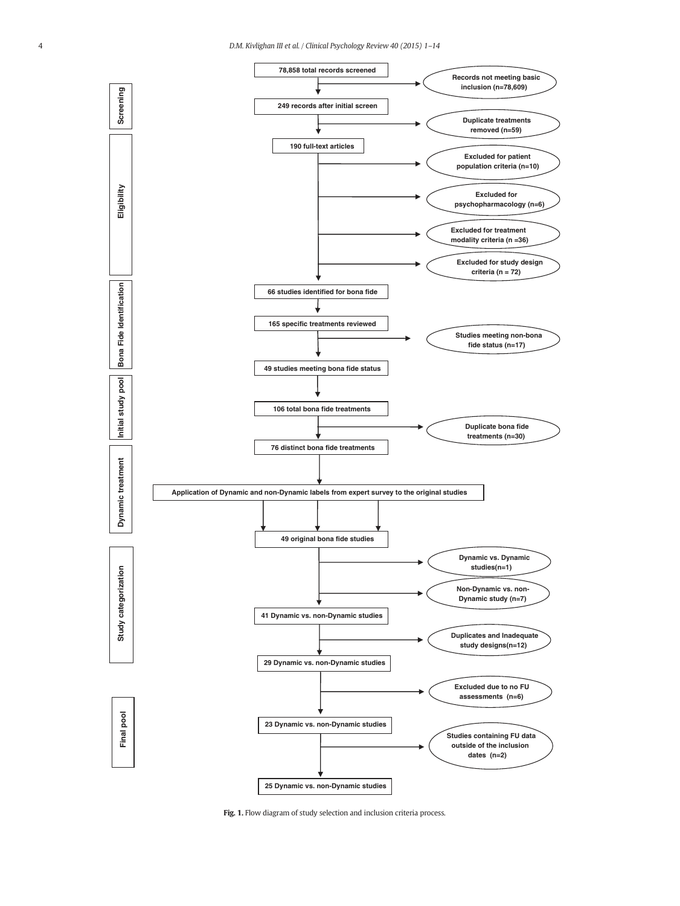

Fig. 1. Flow diagram of study selection and inclusion criteria process.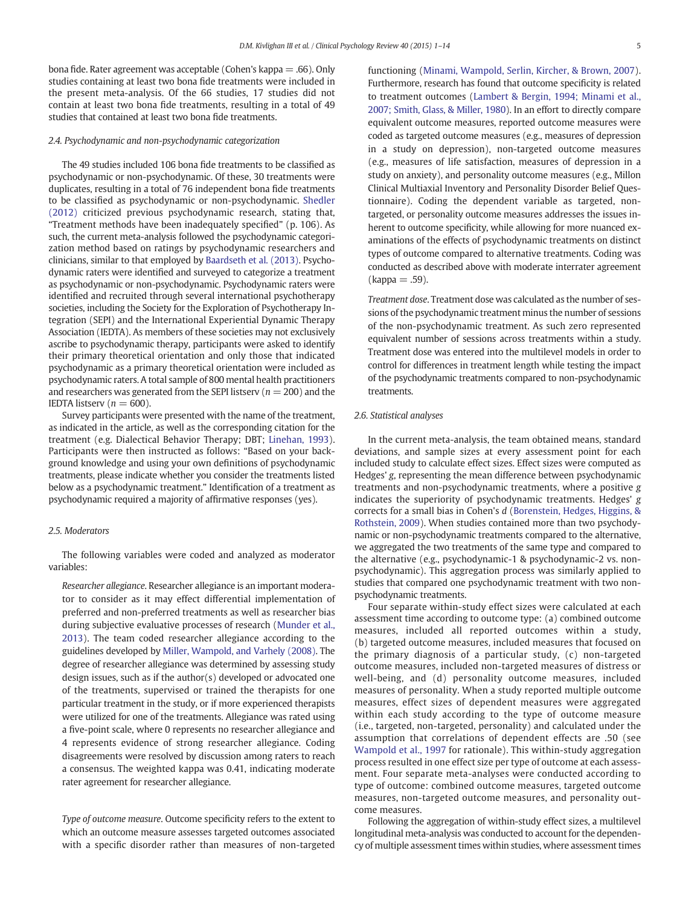bona fide. Rater agreement was acceptable (Cohen's kappa  $=$  .66). Only studies containing at least two bona fide treatments were included in the present meta-analysis. Of the 66 studies, 17 studies did not contain at least two bona fide treatments, resulting in a total of 49 studies that contained at least two bona fide treatments.

### 2.4. Psychodynamic and non-psychodynamic categorization

The 49 studies included 106 bona fide treatments to be classified as psychodynamic or non-psychodynamic. Of these, 30 treatments were duplicates, resulting in a total of 76 independent bona fide treatments to be classified as psychodynamic or non-psychodynamic. Shedler (2012) criticized previous psychodynamic research, stating that, "Treatment methods have been inadequately specified" (p. 106). As such, the current meta-analysis followed the psychodynamic categorization method based on ratings by psychodynamic researchers and clinicians, similar to that employed by Baardseth et al. (2013). Psychodynamic raters were identified and surveyed to categorize a treatment as psychodynamic or non-psychodynamic. Psychodynamic raters were identified and recruited through several international psychotherapy societies, including the Society for the Exploration of Psychotherapy Integration (SEPI) and the International Experiential Dynamic Therapy Association (IEDTA). As members of these societies may not exclusively ascribe to psychodynamic therapy, participants were asked to identify their primary theoretical orientation and only those that indicated psychodynamic as a primary theoretical orientation were included as psychodynamic raters. A total sample of 800 mental health practitioners and researchers was generated from the SEPI listserv ( $n = 200$ ) and the IEDTA listserv ( $n = 600$ ).

Survey participants were presented with the name of the treatment, as indicated in the article, as well as the corresponding citation for the treatment (e.g. Dialectical Behavior Therapy; DBT; Linehan, 1993). Participants were then instructed as follows: "Based on your background knowledge and using your own definitions of psychodynamic treatments, please indicate whether you consider the treatments listed below as a psychodynamic treatment." Identification of a treatment as psychodynamic required a majority of affirmative responses (yes).

### 2.5. Moderators

The following variables were coded and analyzed as moderator variables:

Researcher allegiance. Researcher allegiance is an important moderator to consider as it may effect differential implementation of preferred and non-preferred treatments as well as researcher bias during subjective evaluative processes of research (Munder et al., 2013). The team coded researcher allegiance according to the guidelines developed by Miller, Wampold, and Varhely (2008). The degree of researcher allegiance was determined by assessing study design issues, such as if the author(s) developed or advocated one of the treatments, supervised or trained the therapists for one particular treatment in the study, or if more experienced therapists were utilized for one of the treatments. Allegiance was rated using a five-point scale, where 0 represents no researcher allegiance and 4 represents evidence of strong researcher allegiance. Coding disagreements were resolved by discussion among raters to reach a consensus. The weighted kappa was 0.41, indicating moderate rater agreement for researcher allegiance.

Type of outcome measure. Outcome specificity refers to the extent to which an outcome measure assesses targeted outcomes associated with a specific disorder rather than measures of non-targeted

functioning (Minami, Wampold, Serlin, Kircher, & Brown, 2007). Furthermore, research has found that outcome specificity is related to treatment outcomes (Lambert & Bergin, 1994; Minami et al., 2007; Smith, Glass, & Miller, 1980). In an effort to directly compare equivalent outcome measures, reported outcome measures were coded as targeted outcome measures (e.g., measures of depression in a study on depression), non-targeted outcome measures (e.g., measures of life satisfaction, measures of depression in a study on anxiety), and personality outcome measures (e.g., Millon Clinical Multiaxial Inventory and Personality Disorder Belief Questionnaire). Coding the dependent variable as targeted, nontargeted, or personality outcome measures addresses the issues inherent to outcome specificity, while allowing for more nuanced examinations of the effects of psychodynamic treatments on distinct types of outcome compared to alternative treatments. Coding was conducted as described above with moderate interrater agreement  $(kappa = .59)$ .

Treatment dose. Treatment dose was calculated as the number of sessions of the psychodynamic treatment minus the number of sessions of the non-psychodynamic treatment. As such zero represented equivalent number of sessions across treatments within a study. Treatment dose was entered into the multilevel models in order to control for differences in treatment length while testing the impact of the psychodynamic treatments compared to non-psychodynamic treatments.

# 2.6. Statistical analyses

In the current meta-analysis, the team obtained means, standard deviations, and sample sizes at every assessment point for each included study to calculate effect sizes. Effect sizes were computed as Hedges' g, representing the mean difference between psychodynamic treatments and non-psychodynamic treatments, where a positive g indicates the superiority of psychodynamic treatments. Hedges' g corrects for a small bias in Cohen's d (Borenstein, Hedges, Higgins, & Rothstein, 2009). When studies contained more than two psychodynamic or non-psychodynamic treatments compared to the alternative, we aggregated the two treatments of the same type and compared to the alternative (e.g., psychodynamic-1 & psychodynamic-2 vs. nonpsychodynamic). This aggregation process was similarly applied to studies that compared one psychodynamic treatment with two nonpsychodynamic treatments.

Four separate within-study effect sizes were calculated at each assessment time according to outcome type: (a) combined outcome measures, included all reported outcomes within a study, (b) targeted outcome measures, included measures that focused on the primary diagnosis of a particular study, (c) non-targeted outcome measures, included non-targeted measures of distress or well-being, and (d) personality outcome measures, included measures of personality. When a study reported multiple outcome measures, effect sizes of dependent measures were aggregated within each study according to the type of outcome measure (i.e., targeted, non-targeted, personality) and calculated under the assumption that correlations of dependent effects are .50 (see Wampold et al., 1997 for rationale). This within-study aggregation process resulted in one effect size per type of outcome at each assessment. Four separate meta-analyses were conducted according to type of outcome: combined outcome measures, targeted outcome measures, non-targeted outcome measures, and personality outcome measures.

Following the aggregation of within-study effect sizes, a multilevel longitudinal meta-analysis was conducted to account for the dependency of multiple assessment times within studies, where assessment times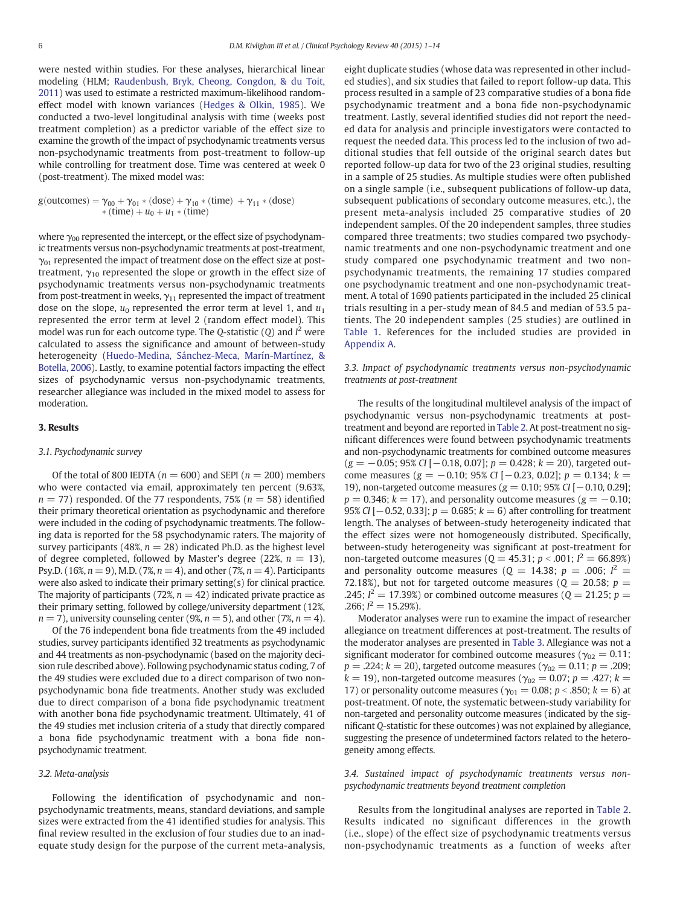were nested within studies. For these analyses, hierarchical linear modeling (HLM; Raudenbush, Bryk, Cheong, Congdon, & du Toit, 2011) was used to estimate a restricted maximum-likelihood randomeffect model with known variances (Hedges & Olkin, 1985). We conducted a two-level longitudinal analysis with time (weeks post treatment completion) as a predictor variable of the effect size to examine the growth of the impact of psychodynamic treatments versus non-psychodynamic treatments from post-treatment to follow-up while controlling for treatment dose. Time was centered at week 0 (post-treatment). The mixed model was:

 $g(\text{outcomes}) = \gamma_{00} + \gamma_{01} * (\text{dose}) + \gamma_{10} * (\text{time}) + \gamma_{11} * (\text{dose})$  $*(time) + u_0 + u_1 * (time)$ 

where  $\gamma_{00}$  represented the intercept, or the effect size of psychodynamic treatments versus non-psychodynamic treatments at post-treatment,  $\gamma_{01}$  represented the impact of treatment dose on the effect size at posttreatment,  $\gamma_{10}$  represented the slope or growth in the effect size of psychodynamic treatments versus non-psychodynamic treatments from post-treatment in weeks,  $\gamma_{11}$  represented the impact of treatment dose on the slope,  $u_0$  represented the error term at level 1, and  $u_1$ represented the error term at level 2 (random effect model). This model was run for each outcome type. The Q-statistic (Q) and  $I^2$  were calculated to assess the significance and amount of between-study heterogeneity (Huedo-Medina, Sánchez-Meca, Marín-Martínez, & Botella, 2006). Lastly, to examine potential factors impacting the effect sizes of psychodynamic versus non-psychodynamic treatments, researcher allegiance was included in the mixed model to assess for moderation.

# 3. Results

# 3.1. Psychodynamic survey

Of the total of 800 IEDTA ( $n = 600$ ) and SEPI ( $n = 200$ ) members who were contacted via email, approximately ten percent (9.63%,  $n = 77$ ) responded. Of the 77 respondents, 75% ( $n = 58$ ) identified their primary theoretical orientation as psychodynamic and therefore were included in the coding of psychodynamic treatments. The following data is reported for the 58 psychodynamic raters. The majority of survey participants (48%,  $n = 28$ ) indicated Ph.D. as the highest level of degree completed, followed by Master's degree (22%,  $n = 13$ ), Psy.D. (16%,  $n = 9$ ), M.D. (7%,  $n = 4$ ), and other (7%,  $n = 4$ ). Participants were also asked to indicate their primary setting(s) for clinical practice. The majority of participants (72%,  $n = 42$ ) indicated private practice as their primary setting, followed by college/university department (12%,  $n = 7$ ), university counseling center (9%,  $n = 5$ ), and other (7%,  $n = 4$ ).

Of the 76 independent bona fide treatments from the 49 included studies, survey participants identified 32 treatments as psychodynamic and 44 treatments as non-psychodynamic (based on the majority decision rule described above). Following psychodynamic status coding, 7 of the 49 studies were excluded due to a direct comparison of two nonpsychodynamic bona fide treatments. Another study was excluded due to direct comparison of a bona fide psychodynamic treatment with another bona fide psychodynamic treatment. Ultimately, 41 of the 49 studies met inclusion criteria of a study that directly compared a bona fide psychodynamic treatment with a bona fide nonpsychodynamic treatment.

#### 3.2. Meta-analysis

Following the identification of psychodynamic and nonpsychodynamic treatments, means, standard deviations, and sample sizes were extracted from the 41 identified studies for analysis. This final review resulted in the exclusion of four studies due to an inadequate study design for the purpose of the current meta-analysis, eight duplicate studies (whose data was represented in other included studies), and six studies that failed to report follow-up data. This process resulted in a sample of 23 comparative studies of a bona fide psychodynamic treatment and a bona fide non-psychodynamic treatment. Lastly, several identified studies did not report the needed data for analysis and principle investigators were contacted to request the needed data. This process led to the inclusion of two additional studies that fell outside of the original search dates but reported follow-up data for two of the 23 original studies, resulting in a sample of 25 studies. As multiple studies were often published on a single sample (i.e., subsequent publications of follow-up data, subsequent publications of secondary outcome measures, etc.), the present meta-analysis included 25 comparative studies of 20 independent samples. Of the 20 independent samples, three studies compared three treatments; two studies compared two psychodynamic treatments and one non-psychodynamic treatment and one study compared one psychodynamic treatment and two nonpsychodynamic treatments, the remaining 17 studies compared one psychodynamic treatment and one non-psychodynamic treatment. A total of 1690 patients participated in the included 25 clinical trials resulting in a per-study mean of 84.5 and median of 53.5 patients. The 20 independent samples (25 studies) are outlined in Table 1. References for the included studies are provided in Appendix A.

# 3.3. Impact of psychodynamic treatments versus non-psychodynamic treatments at post-treatment

The results of the longitudinal multilevel analysis of the impact of psychodynamic versus non-psychodynamic treatments at posttreatment and beyond are reported in Table 2. At post-treatment no significant differences were found between psychodynamic treatments and non-psychodynamic treatments for combined outcome measures  $(g = -0.05; 95\% CI [-0.18, 0.07]; p = 0.428; k = 20)$ , targeted outcome measures ( $g = -0.10$ ; 95% CI [−0.23, 0.02];  $p = 0.134$ ;  $k =$ 19), non-targeted outcome measures (g = 0.10; 95% CI [−0.10, 0.29];  $p = 0.346$ ;  $k = 17$ ), and personality outcome measures ( $g = -0.10$ ; 95% CI  $[-0.52, 0.33]$ ;  $p = 0.685$ ;  $k = 6$ ) after controlling for treatment length. The analyses of between-study heterogeneity indicated that the effect sizes were not homogeneously distributed. Specifically, between-study heterogeneity was significant at post-treatment for non-targeted outcome measures ( $Q = 45.31$ ;  $p < .001$ ;  $I^2 = 66.89\%$ ) and personality outcome measures ( $Q = 14.38$ ;  $p = .006$ ;  $I^2 =$ 72.18%), but not for targeted outcome measures ( $Q = 20.58$ ;  $p =$ .245;  $I^2 = 17.39\%$ ) or combined outcome measures ( $Q = 21.25$ ;  $p =$ .266;  $I^2 = 15.29\%$ ).

Moderator analyses were run to examine the impact of researcher allegiance on treatment differences at post-treatment. The results of the moderator analyses are presented in Table 3. Allegiance was not a significant moderator for combined outcome measures ( $\gamma_{02} = 0.11$ ;  $p = 0.224$ ;  $k = 20$ ), targeted outcome measures ( $\gamma_{02} = 0.11$ ;  $p = 0.209$ ;  $k = 19$ ), non-targeted outcome measures ( $\gamma_{02} = 0.07$ ;  $p = .427$ ;  $k =$ 17) or personality outcome measures ( $\gamma_{01} = 0.08$ ;  $p < .850$ ;  $k = 6$ ) at post-treatment. Of note, the systematic between-study variability for non-targeted and personality outcome measures (indicated by the significant Q-statistic for these outcomes) was not explained by allegiance, suggesting the presence of undetermined factors related to the heterogeneity among effects.

3.4. Sustained impact of psychodynamic treatments versus nonpsychodynamic treatments beyond treatment completion

Results from the longitudinal analyses are reported in Table 2. Results indicated no significant differences in the growth (i.e., slope) of the effect size of psychodynamic treatments versus non-psychodynamic treatments as a function of weeks after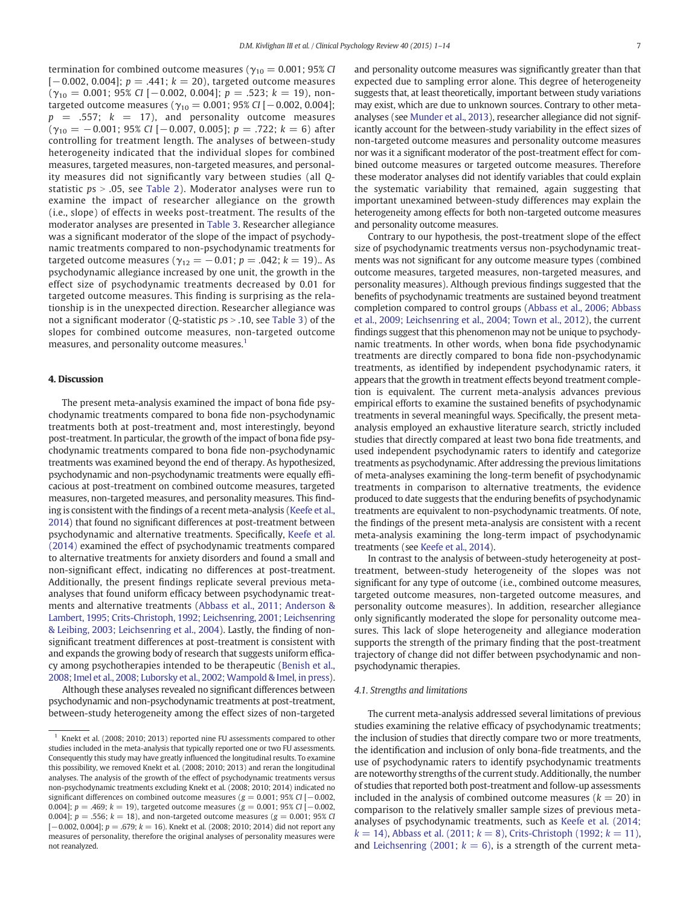termination for combined outcome measures ( $\gamma_{10} = 0.001$ ; 95% CI  $[-0.002, 0.004]$ ;  $p = .441$ ;  $k = 20$ ), targeted outcome measures  $(\gamma_{10} = 0.001; 95\% \text{ CI } [-0.002, 0.004]; p = .523; k = 19)$ , nontargeted outcome measures ( $γ_{10} = 0.001$ ; 95% CI [-0.002, 0.004];  $p = .557$ ;  $k = 17$ ), and personality outcome measures  $(\gamma_{10} = -0.001; 95\% \text{ CI } [-0.007, 0.005]; p = .722; k = 6)$  after controlling for treatment length. The analyses of between-study heterogeneity indicated that the individual slopes for combined measures, targeted measures, non-targeted measures, and personality measures did not significantly vary between studies (all Qstatistic  $ps > .05$ , see Table 2). Moderator analyses were run to examine the impact of researcher allegiance on the growth (i.e., slope) of effects in weeks post-treatment. The results of the moderator analyses are presented in Table 3. Researcher allegiance was a significant moderator of the slope of the impact of psychodynamic treatments compared to non-psychodynamic treatments for targeted outcome measures ( $γ_{12} = -0.01$ ;  $p = .042$ ;  $k = 19$ ).. As psychodynamic allegiance increased by one unit, the growth in the effect size of psychodynamic treatments decreased by 0.01 for targeted outcome measures. This finding is surprising as the relationship is in the unexpected direction. Researcher allegiance was not a significant moderator (*O*-statistic  $ps > .10$ , see Table 3) of the slopes for combined outcome measures, non-targeted outcome measures, and personality outcome measures.<sup>1</sup>

# 4. Discussion

The present meta-analysis examined the impact of bona fide psychodynamic treatments compared to bona fide non-psychodynamic treatments both at post-treatment and, most interestingly, beyond post-treatment. In particular, the growth of the impact of bona fide psychodynamic treatments compared to bona fide non-psychodynamic treatments was examined beyond the end of therapy. As hypothesized, psychodynamic and non-psychodynamic treatments were equally efficacious at post-treatment on combined outcome measures, targeted measures, non-targeted measures, and personality measures. This finding is consistent with the findings of a recent meta-analysis (Keefe et al., 2014) that found no significant differences at post-treatment between psychodynamic and alternative treatments. Specifically, Keefe et al. (2014) examined the effect of psychodynamic treatments compared to alternative treatments for anxiety disorders and found a small and non-significant effect, indicating no differences at post-treatment. Additionally, the present findings replicate several previous metaanalyses that found uniform efficacy between psychodynamic treatments and alternative treatments (Abbass et al., 2011; Anderson & Lambert, 1995; Crits-Christoph, 1992; Leichsenring, 2001; Leichsenring & Leibing, 2003; Leichsenring et al., 2004). Lastly, the finding of nonsignificant treatment differences at post-treatment is consistent with and expands the growing body of research that suggests uniform efficacy among psychotherapies intended to be therapeutic (Benish et al., 2008; Imel et al., 2008; Luborsky et al., 2002; Wampold & Imel, in press).

Although these analyses revealed no significant differences between psychodynamic and non-psychodynamic treatments at post-treatment, between-study heterogeneity among the effect sizes of non-targeted and personality outcome measures was significantly greater than that expected due to sampling error alone. This degree of heterogeneity suggests that, at least theoretically, important between study variations may exist, which are due to unknown sources. Contrary to other metaanalyses (see Munder et al., 2013), researcher allegiance did not significantly account for the between-study variability in the effect sizes of non-targeted outcome measures and personality outcome measures nor was it a significant moderator of the post-treatment effect for combined outcome measures or targeted outcome measures. Therefore these moderator analyses did not identify variables that could explain the systematic variability that remained, again suggesting that important unexamined between-study differences may explain the heterogeneity among effects for both non-targeted outcome measures and personality outcome measures.

Contrary to our hypothesis, the post-treatment slope of the effect size of psychodynamic treatments versus non-psychodynamic treatments was not significant for any outcome measure types (combined outcome measures, targeted measures, non-targeted measures, and personality measures). Although previous findings suggested that the benefits of psychodynamic treatments are sustained beyond treatment completion compared to control groups (Abbass et al., 2006; Abbass et al., 2009; Leichsenring et al., 2004; Town et al., 2012), the current findings suggest that this phenomenon may not be unique to psychodynamic treatments. In other words, when bona fide psychodynamic treatments are directly compared to bona fide non-psychodynamic treatments, as identified by independent psychodynamic raters, it appears that the growth in treatment effects beyond treatment completion is equivalent. The current meta-analysis advances previous empirical efforts to examine the sustained benefits of psychodynamic treatments in several meaningful ways. Specifically, the present metaanalysis employed an exhaustive literature search, strictly included studies that directly compared at least two bona fide treatments, and used independent psychodynamic raters to identify and categorize treatments as psychodynamic. After addressing the previous limitations of meta-analyses examining the long-term benefit of psychodynamic treatments in comparison to alternative treatments, the evidence produced to date suggests that the enduring benefits of psychodynamic treatments are equivalent to non-psychodynamic treatments. Of note, the findings of the present meta-analysis are consistent with a recent meta-analysis examining the long-term impact of psychodynamic treatments (see Keefe et al., 2014).

In contrast to the analysis of between-study heterogeneity at posttreatment, between-study heterogeneity of the slopes was not significant for any type of outcome (i.e., combined outcome measures, targeted outcome measures, non-targeted outcome measures, and personality outcome measures). In addition, researcher allegiance only significantly moderated the slope for personality outcome measures. This lack of slope heterogeneity and allegiance moderation supports the strength of the primary finding that the post-treatment trajectory of change did not differ between psychodynamic and nonpsychodynamic therapies.

#### 4.1. Strengths and limitations

The current meta-analysis addressed several limitations of previous studies examining the relative efficacy of psychodynamic treatments; the inclusion of studies that directly compare two or more treatments, the identification and inclusion of only bona-fide treatments, and the use of psychodynamic raters to identify psychodynamic treatments are noteworthy strengths of the current study. Additionally, the number of studies that reported both post-treatment and follow-up assessments included in the analysis of combined outcome measures ( $k = 20$ ) in comparison to the relatively smaller sample sizes of previous metaanalyses of psychodynamic treatments, such as Keefe et al. (2014;  $k = 14$ ), Abbass et al. (2011;  $k = 8$ ), Crits-Christoph (1992;  $k = 11$ ), and Leichsenring (2001;  $k = 6$ ), is a strength of the current meta-

 $1$  Knekt et al. (2008; 2010; 2013) reported nine FU assessments compared to other studies included in the meta-analysis that typically reported one or two FU assessments. Consequently this study may have greatly influenced the longitudinal results. To examine this possibility, we removed Knekt et al. (2008; 2010; 2013) and reran the longitudinal analyses. The analysis of the growth of the effect of psychodynamic treatments versus non-psychodynamic treatments excluding Knekt et al. (2008; 2010; 2014) indicated no significant differences on combined outcome measures ( $g = 0.001$ ; 95% CI [-0.002, 0.004];  $p = .469$ ;  $k = 19$ ), targeted outcome measures ( $g = 0.001$ ; 95% CI [−0.002, 0.004];  $p = .556$ ;  $k = 18$ ), and non-targeted outcome measures ( $g = 0.001$ ; 95% CI [-0.002, 0.004];  $p = .679$ ;  $k = 16$ ). Knekt et al. (2008; 2010; 2014) did not report any measures of personality, therefore the original analyses of personality measures were not reanalyzed.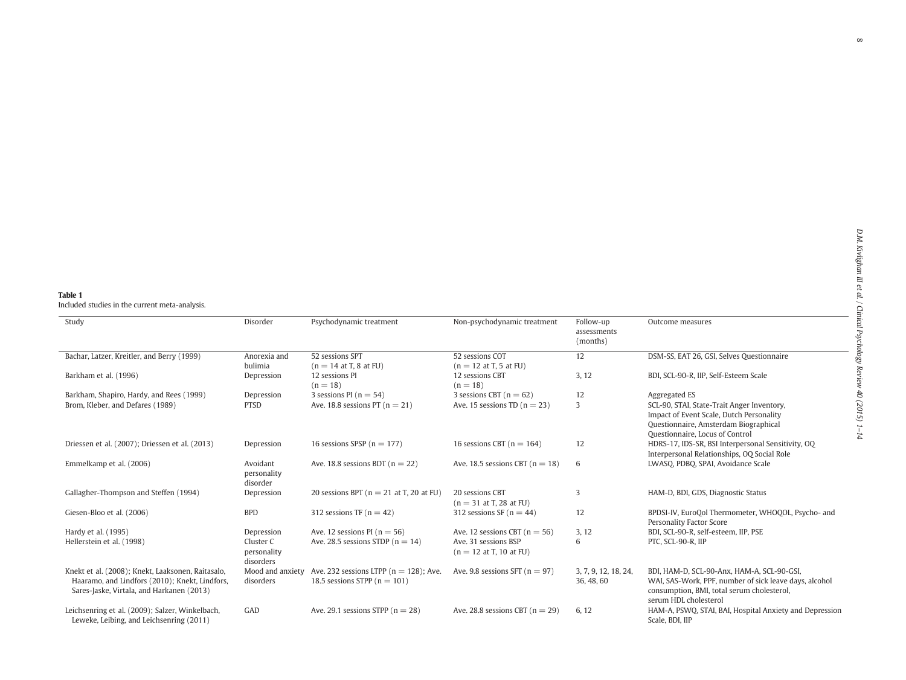# Table 1 Included studies in the current meta-analysis.

| Study                                                                                                                                            | Disorder                                            | Psychodynamic treatment                                                        | Non-psychodynamic treatment                                                            | Follow-up<br>assessments<br>(months) | Outcome measures                                                                                                                                                            |
|--------------------------------------------------------------------------------------------------------------------------------------------------|-----------------------------------------------------|--------------------------------------------------------------------------------|----------------------------------------------------------------------------------------|--------------------------------------|-----------------------------------------------------------------------------------------------------------------------------------------------------------------------------|
| Bachar, Latzer, Kreitler, and Berry (1999)                                                                                                       | Anorexia and<br>bulimia                             | 52 sessions SPT<br>$(n = 14$ at T, 8 at FU)                                    | 52 sessions COT<br>$(n = 12$ at T, 5 at FU)                                            | 12                                   | DSM-SS, EAT 26, GSI, Selves Questionnaire                                                                                                                                   |
| Barkham et al. (1996)                                                                                                                            | Depression                                          | 12 sessions PI<br>$(n = 18)$                                                   | 12 sessions CBT<br>$(n = 18)$                                                          | 3, 12                                | BDI, SCL-90-R, IIP, Self-Esteem Scale                                                                                                                                       |
| Barkham, Shapiro, Hardy, and Rees (1999)                                                                                                         | Depression                                          | 3 sessions PI ( $n = 54$ )                                                     | 3 sessions CBT ( $n = 62$ )                                                            | 12                                   | Aggregated ES                                                                                                                                                               |
| Brom, Kleber, and Defares (1989)                                                                                                                 | <b>PTSD</b>                                         | Ave. 18.8 sessions PT ( $n = 21$ )                                             | Ave. 15 sessions TD $(n = 23)$                                                         | 3                                    | SCL-90, STAI, State-Trait Anger Inventory,<br>Impact of Event Scale, Dutch Personality<br>Questionnaire, Amsterdam Biographical<br>Questionnaire, Locus of Control          |
| Driessen et al. (2007); Driessen et al. (2013)                                                                                                   | Depression                                          | 16 sessions SPSP ( $n = 177$ )                                                 | 16 sessions CBT ( $n = 164$ )                                                          | 12                                   | HDRS-17, IDS-SR, BSI Interpersonal Sensitivity, OQ<br>Interpersonal Relationships, OQ Social Role                                                                           |
| Emmelkamp et al. (2006)                                                                                                                          | Avoidant<br>personality<br>disorder                 | Ave. 18.8 sessions BDT ( $n = 22$ )                                            | Ave. 18.5 sessions CBT $(n = 18)$                                                      | 6                                    | LWASQ, PDBQ, SPAI, Avoidance Scale                                                                                                                                          |
| Gallagher-Thompson and Steffen (1994)                                                                                                            | Depression                                          | 20 sessions BPT ( $n = 21$ at T, 20 at FU)                                     | 20 sessions CBT<br>$(n = 31$ at T, 28 at FU)                                           | 3                                    | HAM-D, BDI, GDS, Diagnostic Status                                                                                                                                          |
| Giesen-Bloo et al. (2006)                                                                                                                        | <b>BPD</b>                                          | 312 sessions TF $(n = 42)$                                                     | 312 sessions SF ( $n = 44$ )                                                           | 12                                   | BPDSI-IV, EuroQol Thermometer, WHOQOL, Psycho- and<br>Personality Factor Score                                                                                              |
| Hardy et al. (1995)<br>Hellerstein et al. (1998)                                                                                                 | Depression<br>Cluster C<br>personality<br>disorders | Ave. 12 sessions PI ( $n = 56$ )<br>Ave. 28.5 sessions STDP ( $n = 14$ )       | Ave. 12 sessions CBT ( $n = 56$ )<br>Ave. 31 sessions BSP<br>$(n = 12$ at T, 10 at FU) | 3, 12<br>6                           | BDI, SCL-90-R, self-esteem, IIP, PSE<br>PTC, SCL-90-R, IIP                                                                                                                  |
| Knekt et al. (2008); Knekt, Laaksonen, Raitasalo,<br>Haaramo, and Lindfors (2010); Knekt, Lindfors,<br>Sares-Jaske, Virtala, and Harkanen (2013) | Mood and anxiety<br>disorders                       | Ave. 232 sessions LTPP ( $n = 128$ ); Ave.<br>18.5 sessions STPP ( $n = 101$ ) | Ave. 9.8 sessions SFT ( $n = 97$ )                                                     | 3, 7, 9, 12, 18, 24,<br>36, 48, 60   | BDI, HAM-D, SCL-90-Anx, HAM-A, SCL-90-GSI,<br>WAI, SAS-Work, PPF, number of sick leave days, alcohol<br>consumption, BMI, total serum cholesterol,<br>serum HDL cholesterol |
| Leichsenring et al. (2009); Salzer, Winkelbach,<br>Leweke, Leibing, and Leichsenring (2011)                                                      | GAD                                                 | Ave. 29.1 sessions STPP ( $n = 28$ )                                           | Ave. 28.8 sessions CBT $(n = 29)$                                                      | 6, 12                                | HAM-A, PSWQ, STAI, BAI, Hospital Anxiety and Depression<br>Scale, BDI, IIP                                                                                                  |

 $\infty$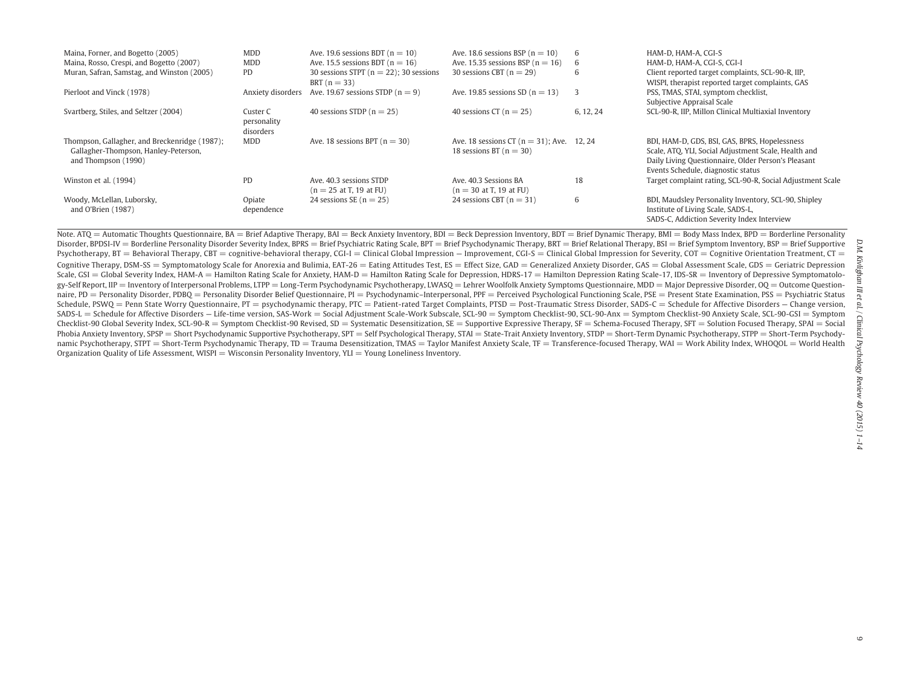| Maina, Forner, and Bogetto (2005)                                                                            | <b>MDD</b>                           | Ave. 19.6 sessions BDT ( $n = 10$ )                          | Ave. 18.6 sessions BSP ( $n = 10$ )                                        |           | HAM-D. HAM-A. CGI-S                                                                                                                                                                                |
|--------------------------------------------------------------------------------------------------------------|--------------------------------------|--------------------------------------------------------------|----------------------------------------------------------------------------|-----------|----------------------------------------------------------------------------------------------------------------------------------------------------------------------------------------------------|
| Maina, Rosso, Crespi, and Bogetto (2007)                                                                     | MDD                                  | Ave. 15.5 sessions BDT ( $n = 16$ )                          | Ave. 15.35 sessions BSP ( $n = 16$ )                                       | 6         | HAM-D, HAM-A, CGI-S, CGI-I                                                                                                                                                                         |
| Muran, Safran, Samstag, and Winston (2005)                                                                   | PD.                                  | 30 sessions STPT ( $n = 22$ ); 30 sessions<br>BRT $(n = 33)$ | 30 sessions CBT $(n = 29)$                                                 | 6         | Client reported target complaints, SCL-90-R, IIP,<br>WISPI, therapist reported target complaints, GAS                                                                                              |
| Pierloot and Vinck (1978)                                                                                    | Anxiety disorders                    | Ave. 19.67 sessions STDP $(n = 9)$                           | Ave. 19.85 sessions SD ( $n = 13$ )                                        | 3         | PSS, TMAS, STAI, symptom checklist,                                                                                                                                                                |
|                                                                                                              |                                      |                                                              |                                                                            |           | Subjective Appraisal Scale                                                                                                                                                                         |
| Svartberg, Stiles, and Seltzer (2004)                                                                        | Custer C<br>personality<br>disorders | 40 sessions STDP ( $n = 25$ )                                | 40 sessions CT ( $n = 25$ )                                                | 6, 12, 24 | SCL-90-R, IIP, Millon Clinical Multiaxial Inventory                                                                                                                                                |
| Thompson, Gallagher, and Breckenridge (1987);<br>Gallagher-Thompson, Hanley-Peterson,<br>and Thompson (1990) | MDD                                  | Ave. 18 sessions BPT $(n = 30)$                              | Ave. 18 sessions CT ( $n = 31$ ); Ave. 12, 24<br>18 sessions BT $(n = 30)$ |           | BDI, HAM-D, GDS, BSI, GAS, BPRS, Hopelessness<br>Scale, ATQ, YLI, Social Adjustment Scale, Health and<br>Daily Living Questionnaire, Older Person's Pleasant<br>Events Schedule, diagnostic status |
| Winston et al. (1994)                                                                                        | <b>PD</b>                            | Ave. 40.3 sessions STDP<br>$(n = 25$ at T, 19 at FU)         | Ave. 40.3 Sessions BA<br>$(n = 30$ at T, 19 at FU)                         | 18        | Target complaint rating, SCL-90-R, Social Adjustment Scale                                                                                                                                         |
| Woody, McLellan, Luborsky,<br>and O'Brien $(1987)$                                                           | Opiate<br>dependence                 | 24 sessions SE ( $n = 25$ )                                  | 24 sessions CBT $(n = 31)$                                                 | 6         | BDI, Maudsley Personality Inventory, SCL-90, Shipley<br>Institute of Living Scale, SADS-L,<br>SADS-C, Addiction Severity Index Interview                                                           |

Note. ATQ = Automatic Thoughts Questionnaire, BA = Brief Adaptive Therapy, BAI = Beck Anxiety Inventory, BDI = Beck Depression Inventory, BDT = Brief Dynamic Therapy, BMI = Body Mass Index, BPD = Borderline Personality Disorder, BPDSI-IV = Borderline Personality Disorder Severity Index, BPRS = Brief Psychiatric Rating Scale, BPT = Brief Psychodynamic Therapy, BRT = Brief Relational Therapy, BSI = Brief Symptom Inventory, BSP = Brief Sup Psychotherapy, BT = Behavioral Therapy, CBT = cognitive-behavioral therapy, CGI-I = Clinical Global Impression — Improvement, CGI-S = Clinical Global Impression for Severity, COT = Cognitive Orientation Treatment, CT = Cognitive Therapy, DSM-SS = Symptomatology Scale for Anorexia and Bulimia, EAT-26 = Eating Attitudes Test, ES = Effect Size, GAD = Generalized Anxiety Disorder, GAS = Global Assessment Scale, GDS = Geriatric Depression Scale, GSI = Global Severity Index, HAM-A = Hamilton Rating Scale for Anxiety, HAM-D = Hamilton Rating Scale for Depression, HDRS-17 = Hamilton Depression Rating Scale-17, IDS-SR = Inventory of Depressive Symptomatology-Self Report, IIP = Inventory of Interpersonal Problems, LTPP = Long-Term Psychodynamic Psychotherapy, LWASQ = Lehrer Woolfolk Anxiety Symptoms Questionnaire, MDD = Major Depressive Disorder, OQ = Outcome Questionnaire, PD = Personality Disorder, PDBQ = Personality Disorder Belief Questionnaire, PI = Psychodynamic–Interpersonal, PPF = Perceived Psychological Functioning Scale, PSE = Present State Examination, PSS = Psychiatric Sta Schedule, PSWQ = Penn State Worry Questionnaire, PT = psychodynamic therapy, PTC = Patient-rated Target Complaints, PTSD = Post-Traumatic Stress Disorder, SADS-C = Schedule for Affective Disorders – Change version, SADS-L = Schedule for Affective Disorders — Life-time version, SAS-Work = Social Adjustment Scale-Work Subscale, SCL-90 = Symptom Checklist-90, SCL-90-Anx = Symptom Checklist-90 Anxiety Scale, SCL-90-GSI = Symptom Checklist-90 Global Severity Index, SCL-90-R = Symptom Checklist-90 Revised, SD = Systematic Desensitization, SE = Supportive Expressive Therapy, SF = Schema-Focused Therapy, SFT = Solution Focused Therapy, SPAI = Social Phobia Anxiety Inventory, SPSP = Short Psychodynamic Supportive Psychotherapy, SPT = Self Psychological Therapy, STAI = State-Trait Anxiety Inventory, STDP = Short-Term Dynamic Psychotherapy, STPP = Short-Term Psychodynamic Psychotherapy, STPT = Short-Term Psychodynamic Therapy, TD = Trauma Desensitization, TMAS = Taylor Manifest Anxiety Scale, TF = Transference-focused Therapy, WAI = Work Ability Index, WHOQOL = World Health Organization Quality of Life Assessment, WISPI = Wisconsin Personality Inventory, YLI = Young Loneliness Inventory.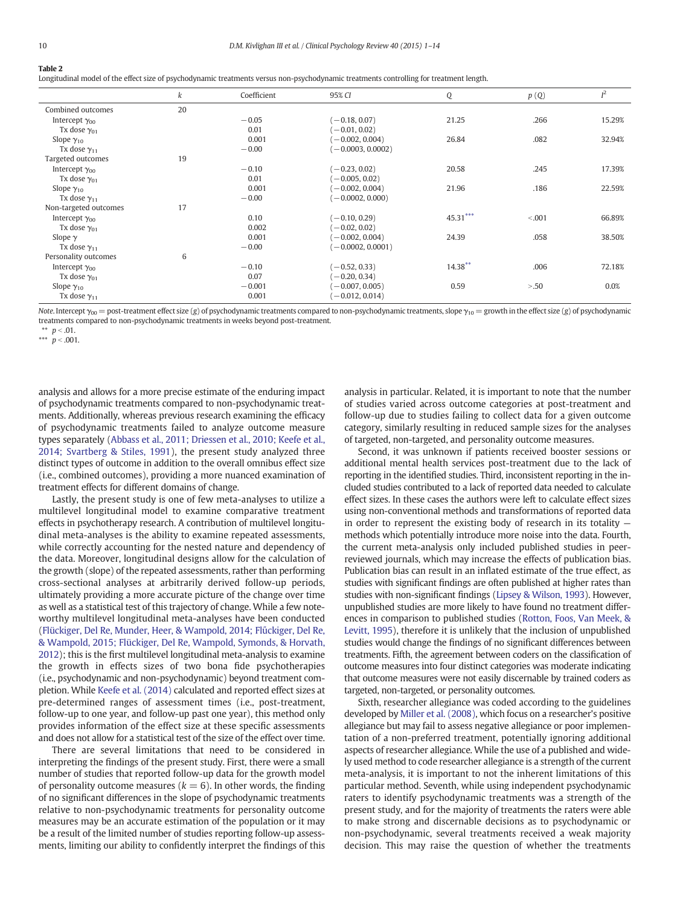# Table 2

Longitudinal model of the effect size of psychodynamic treatments versus non-psychodynamic treatments controlling for treatment length.

|                         | k  | Coefficient | 95% CI              | Q          | p(Q)    | $I^2$  |
|-------------------------|----|-------------|---------------------|------------|---------|--------|
| Combined outcomes       | 20 |             |                     |            |         |        |
| Intercept $\gamma_{00}$ |    | $-0.05$     | $(-0.18, 0.07)$     | 21.25      | .266    | 15.29% |
| Tx dose $\gamma_{01}$   |    | 0.01        | $-0.01, 0.02$       |            |         |        |
| Slope $\gamma_{10}$     |    | 0.001       | $-0.002, 0.004$     | 26.84      | .082    | 32.94% |
| Tx dose $\gamma_{11}$   |    | $-0.00$     | $-0.0003, 0.0002$   |            |         |        |
| Targeted outcomes       | 19 |             |                     |            |         |        |
| Intercept $\gamma_{00}$ |    | $-0.10$     | $-0.23, 0.02$       | 20.58      | .245    | 17.39% |
| Tx dose $\gamma_{01}$   |    | 0.01        | $-0.005, 0.02$      |            |         |        |
| Slope $\gamma_{10}$     |    | 0.001       | $-0.002, 0.004$     | 21.96      | .186    | 22.59% |
| Tx dose $\gamma_{11}$   |    | $-0.00$     | $-0.0002, 0.000$    |            |         |        |
| Non-targeted outcomes   | 17 |             |                     |            |         |        |
| Intercept $\gamma_{00}$ |    | 0.10        | $(-0.10, 0.29)$     | $45.31***$ | < 0.001 | 66.89% |
| Tx dose $\gamma_{01}$   |    | 0.002       | $-0.02, 0.02$       |            |         |        |
| Slope $\gamma$          |    | 0.001       | $-0.002, 0.004$     | 24.39      | .058    | 38.50% |
| Tx dose $\gamma_{11}$   |    | $-0.00$     | $(-0.0002, 0.0001)$ |            |         |        |
| Personality outcomes    | 6  |             |                     |            |         |        |
| Intercept $\gamma_{00}$ |    | $-0.10$     | $(-0.52, 0.33)$     | $14.38***$ | .006    | 72.18% |
| Tx dose $\gamma_{01}$   |    | 0.07        | $-0.20, 0.34$       |            |         |        |
| Slope $\gamma_{10}$     |    | $-0.001$    | $-0.007, 0.005$     | 0.59       | > 0.50  | 0.0%   |
| Tx dose $\gamma_{11}$   |    | 0.001       | $-0.012, 0.014$     |            |         |        |

Note. Intercept  $\gamma_{00}$  = post-treatment effect size (g) of psychodynamic treatments compared to non-psychodynamic treatments, slope  $\gamma_{10}$  = growth in the effect size (g) of psychodynamic treatments compared to non-psychodynamic treatments in weeks beyond post-treatment.

analysis and allows for a more precise estimate of the enduring impact of psychodynamic treatments compared to non-psychodynamic treatments. Additionally, whereas previous research examining the efficacy of psychodynamic treatments failed to analyze outcome measure types separately (Abbass et al., 2011; Driessen et al., 2010; Keefe et al., 2014; Svartberg & Stiles, 1991), the present study analyzed three distinct types of outcome in addition to the overall omnibus effect size (i.e., combined outcomes), providing a more nuanced examination of treatment effects for different domains of change.

Lastly, the present study is one of few meta-analyses to utilize a multilevel longitudinal model to examine comparative treatment effects in psychotherapy research. A contribution of multilevel longitudinal meta-analyses is the ability to examine repeated assessments, while correctly accounting for the nested nature and dependency of the data. Moreover, longitudinal designs allow for the calculation of the growth (slope) of the repeated assessments, rather than performing cross-sectional analyses at arbitrarily derived follow-up periods, ultimately providing a more accurate picture of the change over time as well as a statistical test of this trajectory of change. While a few noteworthy multilevel longitudinal meta-analyses have been conducted (Flückiger, Del Re, Munder, Heer, & Wampold, 2014; Flűckiger, Del Re, & Wampold, 2015; Flückiger, Del Re, Wampold, Symonds, & Horvath, 2012); this is the first multilevel longitudinal meta-analysis to examine the growth in effects sizes of two bona fide psychotherapies (i.e., psychodynamic and non-psychodynamic) beyond treatment completion. While Keefe et al. (2014) calculated and reported effect sizes at pre-determined ranges of assessment times (i.e., post-treatment, follow-up to one year, and follow-up past one year), this method only provides information of the effect size at these specific assessments and does not allow for a statistical test of the size of the effect over time.

There are several limitations that need to be considered in interpreting the findings of the present study. First, there were a small number of studies that reported follow-up data for the growth model of personality outcome measures ( $k = 6$ ). In other words, the finding of no significant differences in the slope of psychodynamic treatments relative to non-psychodynamic treatments for personality outcome measures may be an accurate estimation of the population or it may be a result of the limited number of studies reporting follow-up assessments, limiting our ability to confidently interpret the findings of this analysis in particular. Related, it is important to note that the number of studies varied across outcome categories at post-treatment and follow-up due to studies failing to collect data for a given outcome category, similarly resulting in reduced sample sizes for the analyses of targeted, non-targeted, and personality outcome measures.

Second, it was unknown if patients received booster sessions or additional mental health services post-treatment due to the lack of reporting in the identified studies. Third, inconsistent reporting in the included studies contributed to a lack of reported data needed to calculate effect sizes. In these cases the authors were left to calculate effect sizes using non-conventional methods and transformations of reported data in order to represent the existing body of research in its totality methods which potentially introduce more noise into the data. Fourth, the current meta-analysis only included published studies in peerreviewed journals, which may increase the effects of publication bias. Publication bias can result in an inflated estimate of the true effect, as studies with significant findings are often published at higher rates than studies with non-significant findings (Lipsey & Wilson, 1993). However, unpublished studies are more likely to have found no treatment differences in comparison to published studies (Rotton, Foos, Van Meek, & Levitt, 1995), therefore it is unlikely that the inclusion of unpublished studies would change the findings of no significant differences between treatments. Fifth, the agreement between coders on the classification of outcome measures into four distinct categories was moderate indicating that outcome measures were not easily discernable by trained coders as targeted, non-targeted, or personality outcomes.

Sixth, researcher allegiance was coded according to the guidelines developed by Miller et al. (2008), which focus on a researcher's positive allegiance but may fail to assess negative allegiance or poor implementation of a non-preferred treatment, potentially ignoring additional aspects of researcher allegiance. While the use of a published and widely used method to code researcher allegiance is a strength of the current meta-analysis, it is important to not the inherent limitations of this particular method. Seventh, while using independent psychodynamic raters to identify psychodynamic treatments was a strength of the present study, and for the majority of treatments the raters were able to make strong and discernable decisions as to psychodynamic or non-psychodynamic, several treatments received a weak majority decision. This may raise the question of whether the treatments

 $p < .01$ .

<sup>\*\*\*</sup>  $p < .001$ .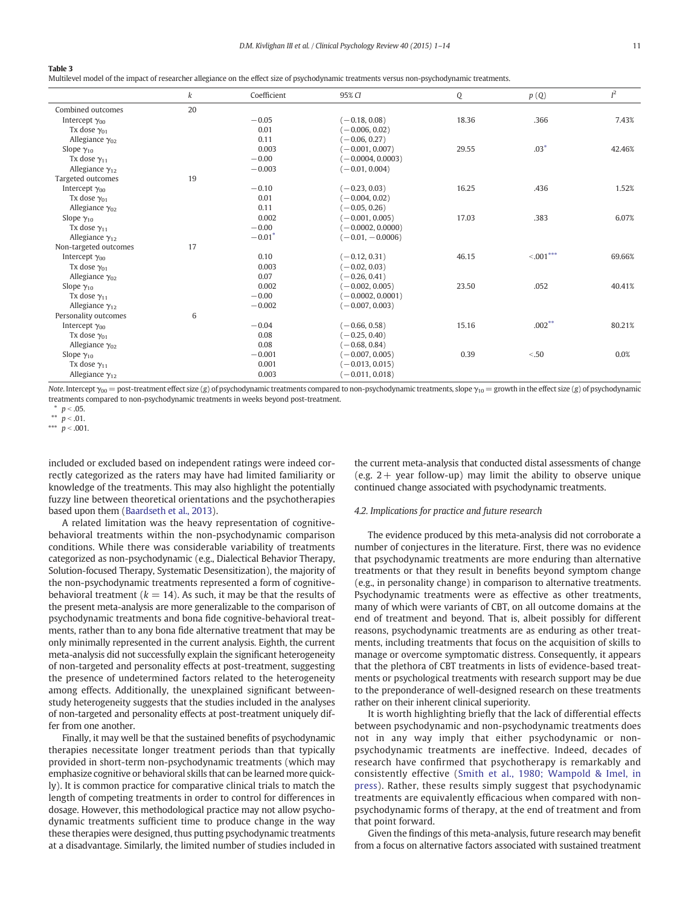Multilevel model of the impact of researcher allegiance on the effect size of psychodynamic treatments versus non-psychodynamic treatments.

|                          | k  | Coefficient | 95% CI              | Q     | p(Q)        | $I^2$  |
|--------------------------|----|-------------|---------------------|-------|-------------|--------|
| Combined outcomes        | 20 |             |                     |       |             |        |
| Intercept $\gamma_{00}$  |    | $-0.05$     | $(-0.18, 0.08)$     | 18.36 | .366        | 7.43%  |
| Tx dose $\gamma_{01}$    |    | 0.01        | $(-0.006, 0.02)$    |       |             |        |
| Allegiance $\gamma_{02}$ |    | 0.11        | $(-0.06, 0.27)$     |       |             |        |
| Slope $\gamma_{10}$      |    | 0.003       | $(-0.001, 0.007)$   | 29.55 | $.03*$      | 42.46% |
| Tx dose $\gamma_{11}$    |    | $-0.00$     | $(-0.0004, 0.0003)$ |       |             |        |
| Allegiance $\gamma_{12}$ |    | $-0.003$    | $(-0.01, 0.004)$    |       |             |        |
| Targeted outcomes        | 19 |             |                     |       |             |        |
| Intercept $\gamma_{00}$  |    | $-0.10$     | $(-0.23, 0.03)$     | 16.25 | .436        | 1.52%  |
| Tx dose $\gamma_{01}$    |    | 0.01        | $(-0.004, 0.02)$    |       |             |        |
| Allegiance $\gamma_{02}$ |    | 0.11        | $(-0.05, 0.26)$     |       |             |        |
| Slope $\gamma_{10}$      |    | 0.002       | $(-0.001, 0.005)$   | 17.03 | .383        | 6.07%  |
| Tx dose $\gamma_{11}$    |    | $-0.00$     | $(-0.0002, 0.0000)$ |       |             |        |
| Allegiance $\gamma_{12}$ |    | $-0.01*$    | $(-0.01, -0.0006)$  |       |             |        |
| Non-targeted outcomes    | 17 |             |                     |       |             |        |
| Intercept $\gamma_{00}$  |    | 0.10        | $(-0.12, 0.31)$     | 46.15 | $< .001***$ | 69.66% |
| Tx dose $\gamma_{01}$    |    | 0.003       | $(-0.02, 0.03)$     |       |             |        |
| Allegiance $\gamma_{02}$ |    | 0.07        | $(-0.26, 0.41)$     |       |             |        |
| Slope $\gamma_{10}$      |    | 0.002       | $(-0.002, 0.005)$   | 23.50 | .052        | 40.41% |
| Tx dose $\gamma_{11}$    |    | $-0.00$     | $(-0.0002, 0.0001)$ |       |             |        |
| Allegiance $\gamma_{12}$ |    | $-0.002$    | $(-0.007, 0.003)$   |       |             |        |
| Personality outcomes     | 6  |             |                     |       |             |        |
| Intercept $\gamma_{00}$  |    | $-0.04$     | $(-0.66, 0.58)$     | 15.16 | $.002***$   | 80.21% |
| Tx dose $\gamma_{01}$    |    | 0.08        | $(-0.25, 0.40)$     |       |             |        |
| Allegiance $\gamma_{02}$ |    | 0.08        | $(-0.68, 0.84)$     |       |             |        |
| Slope $\gamma_{10}$      |    | $-0.001$    | $(-0.007, 0.005)$   | 0.39  | < 50        | 0.0%   |
| Tx dose $\gamma_{11}$    |    | 0.001       | $(-0.013, 0.015)$   |       |             |        |
| Allegiance $\gamma_{12}$ |    | 0.003       | $(-0.011, 0.018)$   |       |             |        |

Note. Intercept  $\gamma_{00}$  = post-treatment effect size (g) of psychodynamic treatments compared to non-psychodynamic treatments, slope  $\gamma_{10}$  = growth in the effect size (g) of psychodynamic treatments compared to non-psychodynamic treatments in weeks beyond post-treatment.

\*\*\*  $p < .001$ .

included or excluded based on independent ratings were indeed correctly categorized as the raters may have had limited familiarity or knowledge of the treatments. This may also highlight the potentially fuzzy line between theoretical orientations and the psychotherapies based upon them (Baardseth et al., 2013).

A related limitation was the heavy representation of cognitivebehavioral treatments within the non-psychodynamic comparison conditions. While there was considerable variability of treatments categorized as non-psychodynamic (e.g., Dialectical Behavior Therapy, Solution-focused Therapy, Systematic Desensitization), the majority of the non-psychodynamic treatments represented a form of cognitivebehavioral treatment ( $k = 14$ ). As such, it may be that the results of the present meta-analysis are more generalizable to the comparison of psychodynamic treatments and bona fide cognitive-behavioral treatments, rather than to any bona fide alternative treatment that may be only minimally represented in the current analysis. Eighth, the current meta-analysis did not successfully explain the significant heterogeneity of non-targeted and personality effects at post-treatment, suggesting the presence of undetermined factors related to the heterogeneity among effects. Additionally, the unexplained significant betweenstudy heterogeneity suggests that the studies included in the analyses of non-targeted and personality effects at post-treatment uniquely differ from one another.

Finally, it may well be that the sustained benefits of psychodynamic therapies necessitate longer treatment periods than that typically provided in short-term non-psychodynamic treatments (which may emphasize cognitive or behavioral skills that can be learned more quickly). It is common practice for comparative clinical trials to match the length of competing treatments in order to control for differences in dosage. However, this methodological practice may not allow psychodynamic treatments sufficient time to produce change in the way these therapies were designed, thus putting psychodynamic treatments at a disadvantage. Similarly, the limited number of studies included in

the current meta-analysis that conducted distal assessments of change (e.g.  $2+$  year follow-up) may limit the ability to observe unique continued change associated with psychodynamic treatments.

#### 4.2. Implications for practice and future research

The evidence produced by this meta-analysis did not corroborate a number of conjectures in the literature. First, there was no evidence that psychodynamic treatments are more enduring than alternative treatments or that they result in benefits beyond symptom change (e.g., in personality change) in comparison to alternative treatments. Psychodynamic treatments were as effective as other treatments, many of which were variants of CBT, on all outcome domains at the end of treatment and beyond. That is, albeit possibly for different reasons, psychodynamic treatments are as enduring as other treatments, including treatments that focus on the acquisition of skills to manage or overcome symptomatic distress. Consequently, it appears that the plethora of CBT treatments in lists of evidence-based treatments or psychological treatments with research support may be due to the preponderance of well-designed research on these treatments rather on their inherent clinical superiority.

It is worth highlighting briefly that the lack of differential effects between psychodynamic and non-psychodynamic treatments does not in any way imply that either psychodynamic or nonpsychodynamic treatments are ineffective. Indeed, decades of research have confirmed that psychotherapy is remarkably and consistently effective (Smith et al., 1980; Wampold & Imel, in press). Rather, these results simply suggest that psychodynamic treatments are equivalently efficacious when compared with nonpsychodynamic forms of therapy, at the end of treatment and from that point forward.

Given the findings of this meta-analysis, future research may benefit from a focus on alternative factors associated with sustained treatment

 $p < .05$ .

<sup>\*\*</sup>  $p < .01$ .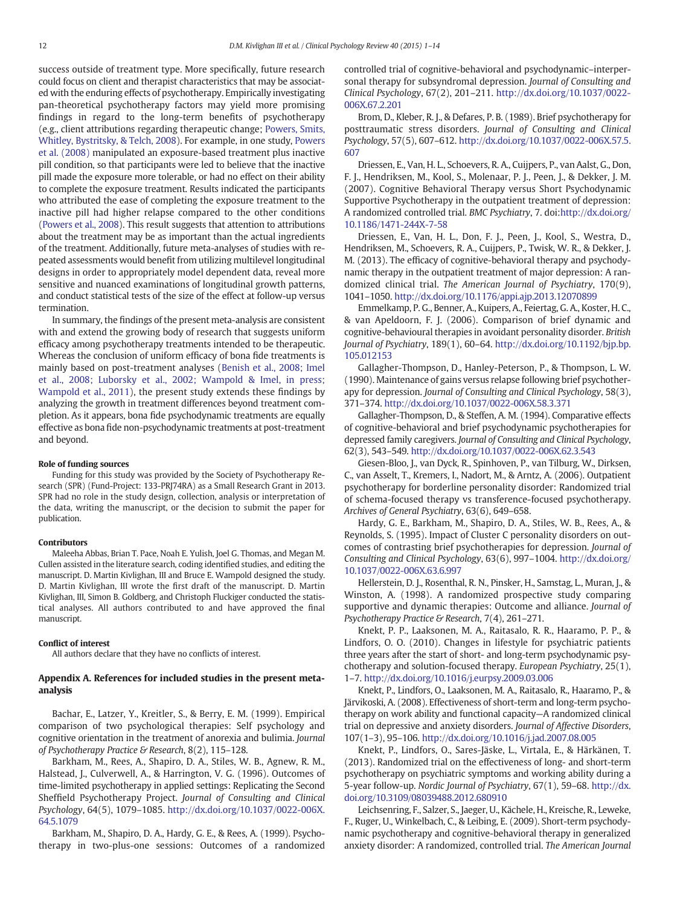success outside of treatment type. More specifically, future research could focus on client and therapist characteristics that may be associated with the enduring effects of psychotherapy. Empirically investigating pan-theoretical psychotherapy factors may yield more promising findings in regard to the long-term benefits of psychotherapy (e.g., client attributions regarding therapeutic change; Powers, Smits, Whitley, Bystritsky, & Telch, 2008). For example, in one study, Powers et al. (2008) manipulated an exposure-based treatment plus inactive pill condition, so that participants were led to believe that the inactive pill made the exposure more tolerable, or had no effect on their ability to complete the exposure treatment. Results indicated the participants who attributed the ease of completing the exposure treatment to the inactive pill had higher relapse compared to the other conditions (Powers et al., 2008). This result suggests that attention to attributions about the treatment may be as important than the actual ingredients of the treatment. Additionally, future meta-analyses of studies with repeated assessments would benefit from utilizing multilevel longitudinal designs in order to appropriately model dependent data, reveal more sensitive and nuanced examinations of longitudinal growth patterns, and conduct statistical tests of the size of the effect at follow-up versus termination.

In summary, the findings of the present meta-analysis are consistent with and extend the growing body of research that suggests uniform efficacy among psychotherapy treatments intended to be therapeutic. Whereas the conclusion of uniform efficacy of bona fide treatments is mainly based on post-treatment analyses (Benish et al., 2008; Imel et al., 2008; Luborsky et al., 2002; Wampold & Imel, in press; Wampold et al., 2011), the present study extends these findings by analyzing the growth in treatment differences beyond treatment completion. As it appears, bona fide psychodynamic treatments are equally effective as bona fide non-psychodynamic treatments at post-treatment and beyond.

#### Role of funding sources

Funding for this study was provided by the Society of Psychotherapy Research (SPR) (Fund-Project: 133-PRJ74RA) as a Small Research Grant in 2013. SPR had no role in the study design, collection, analysis or interpretation of the data, writing the manuscript, or the decision to submit the paper for publication.

#### Contributors

Maleeha Abbas, Brian T. Pace, Noah E. Yulish, Joel G. Thomas, and Megan M. Cullen assisted in the literature search, coding identified studies, and editing the manuscript. D. Martin Kivlighan, III and Bruce E. Wampold designed the study. D. Martin Kivlighan, III wrote the first draft of the manuscript. D. Martin Kivlighan, III, Simon B. Goldberg, and Christoph Fluckiger conducted the statistical analyses. All authors contributed to and have approved the final manuscript.

# Conflict of interest

All authors declare that they have no conflicts of interest.

# Appendix A. References for included studies in the present metaanalysis

Bachar, E., Latzer, Y., Kreitler, S., & Berry, E. M. (1999). Empirical comparison of two psychological therapies: Self psychology and cognitive orientation in the treatment of anorexia and bulimia. Journal of Psychotherapy Practice & Research, 8(2), 115–128.

Barkham, M., Rees, A., Shapiro, D. A., Stiles, W. B., Agnew, R. M., Halstead, J., Culverwell, A., & Harrington, V. G. (1996). Outcomes of time-limited psychotherapy in applied settings: Replicating the Second Sheffield Psychotherapy Project. Journal of Consulting and Clinical Psychology, 64(5), 1079–1085. http://dx.doi.org/10.1037/0022-006X. 64.5.1079

Barkham, M., Shapiro, D. A., Hardy, G. E., & Rees, A. (1999). Psychotherapy in two-plus-one sessions: Outcomes of a randomized controlled trial of cognitive-behavioral and psychodynamic–interpersonal therapy for subsyndromal depression. Journal of Consulting and Clinical Psychology, 67(2), 201–211. http://dx.doi.org/10.1037/0022- 006X.67.2.201

Brom, D., Kleber, R. J., & Defares, P. B. (1989). Brief psychotherapy for posttraumatic stress disorders. Journal of Consulting and Clinical Psychology, 57(5), 607–612. http://dx.doi.org/10.1037/0022-006X.57.5. 607

Driessen, E., Van, H. L., Schoevers, R. A., Cuijpers, P., van Aalst, G., Don, F. J., Hendriksen, M., Kool, S., Molenaar, P. J., Peen, J., & Dekker, J. M. (2007). Cognitive Behavioral Therapy versus Short Psychodynamic Supportive Psychotherapy in the outpatient treatment of depression: A randomized controlled trial. BMC Psychiatry, 7. doi:http://dx.doi.org/ 10.1186/1471-244X-7-58

Driessen, E., Van, H. L., Don, F. J., Peen, J., Kool, S., Westra, D., Hendriksen, M., Schoevers, R. A., Cuijpers, P., Twisk, W. R., & Dekker, J. M. (2013). The efficacy of cognitive-behavioral therapy and psychodynamic therapy in the outpatient treatment of major depression: A randomized clinical trial. The American Journal of Psychiatry, 170(9), 1041–1050. http://dx.doi.org/10.1176/appi.ajp.2013.12070899

Emmelkamp, P. G., Benner, A., Kuipers, A., Feiertag, G. A., Koster, H. C., & van Apeldoorn, F. J. (2006). Comparison of brief dynamic and cognitive-behavioural therapies in avoidant personality disorder. British Journal of Psychiatry, 189(1), 60–64. http://dx.doi.org/10.1192/bjp.bp. 105.012153

Gallagher-Thompson, D., Hanley-Peterson, P., & Thompson, L. W. (1990). Maintenance of gains versus relapse following brief psychotherapy for depression. Journal of Consulting and Clinical Psychology, 58(3), 371–374. http://dx.doi.org/10.1037/0022-006X.58.3.371

Gallagher-Thompson, D., & Steffen, A. M. (1994). Comparative effects of cognitive-behavioral and brief psychodynamic psychotherapies for depressed family caregivers. Journal of Consulting and Clinical Psychology, 62(3), 543–549. http://dx.doi.org/10.1037/0022-006X.62.3.543

Giesen-Bloo, J., van Dyck, R., Spinhoven, P., van Tilburg, W., Dirksen, C., van Asselt, T., Kremers, I., Nadort, M., & Arntz, A. (2006). Outpatient psychotherapy for borderline personality disorder: Randomized trial of schema-focused therapy vs transference-focused psychotherapy. Archives of General Psychiatry, 63(6), 649–658.

Hardy, G. E., Barkham, M., Shapiro, D. A., Stiles, W. B., Rees, A., & Reynolds, S. (1995). Impact of Cluster C personality disorders on outcomes of contrasting brief psychotherapies for depression. Journal of Consulting and Clinical Psychology, 63(6), 997–1004. http://dx.doi.org/ 10.1037/0022-006X.63.6.997

Hellerstein, D. J., Rosenthal, R. N., Pinsker, H., Samstag, L., Muran, J., & Winston, A. (1998). A randomized prospective study comparing supportive and dynamic therapies: Outcome and alliance. Journal of Psychotherapy Practice & Research, 7(4), 261-271.

Knekt, P. P., Laaksonen, M. A., Raitasalo, R. R., Haaramo, P. P., & Lindfors, O. O. (2010). Changes in lifestyle for psychiatric patients three years after the start of short- and long-term psychodynamic psychotherapy and solution-focused therapy. European Psychiatry, 25(1), 1–7. http://dx.doi.org/10.1016/j.eurpsy.2009.03.006

Knekt, P., Lindfors, O., Laaksonen, M. A., Raitasalo, R., Haaramo, P., & Järvikoski, A. (2008). Effectiveness of short-term and long-term psychotherapy on work ability and functional capacity—A randomized clinical trial on depressive and anxiety disorders. Journal of Affective Disorders, 107(1–3), 95–106. http://dx.doi.org/10.1016/j.jad.2007.08.005

Knekt, P., Lindfors, O., Sares-Jäske, L., Virtala, E., & Härkänen, T. (2013). Randomized trial on the effectiveness of long- and short-term psychotherapy on psychiatric symptoms and working ability during a 5-year follow-up. Nordic Journal of Psychiatry, 67(1), 59–68. http://dx. doi.org/10.3109/08039488.2012.680910

Leichsenring, F., Salzer, S., Jaeger, U., Kächele, H., Kreische, R., Leweke, F., Ruger, U., Winkelbach, C., & Leibing, E. (2009). Short-term psychodynamic psychotherapy and cognitive-behavioral therapy in generalized anxiety disorder: A randomized, controlled trial. The American Journal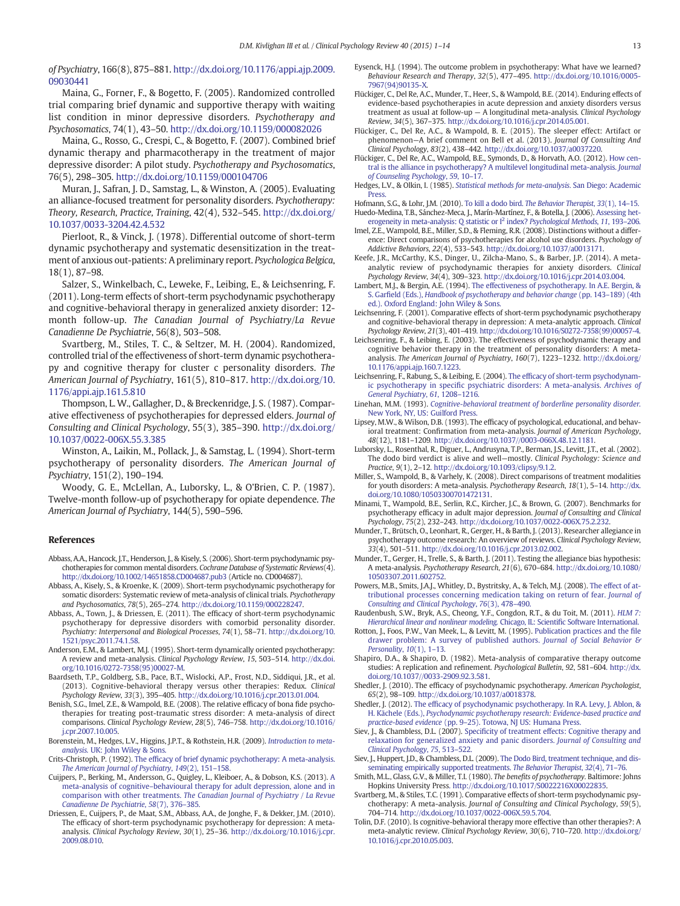of Psychiatry, 166(8), 875–881. http://dx.doi.org/10.1176/appi.ajp.2009. 09030441

Maina, G., Forner, F., & Bogetto, F. (2005). Randomized controlled trial comparing brief dynamic and supportive therapy with waiting list condition in minor depressive disorders. Psychotherapy and Psychosomatics, 74(1), 43–50. http://dx.doi.org/10.1159/000082026

Maina, G., Rosso, G., Crespi, C., & Bogetto, F. (2007). Combined brief dynamic therapy and pharmacotherapy in the treatment of major depressive disorder: A pilot study. Psychotherapy and Psychosomatics, 76(5), 298–305. http://dx.doi.org/10.1159/000104706

Muran, J., Safran, J. D., Samstag, L., & Winston, A. (2005). Evaluating an alliance-focused treatment for personality disorders. Psychotherapy: Theory, Research, Practice, Training, 42(4), 532–545. http://dx.doi.org/ 10.1037/0033-3204.42.4.532

Pierloot, R., & Vinck, J. (1978). Differential outcome of short-term dynamic psychotherapy and systematic desensitization in the treatment of anxious out-patients: A preliminary report. Psychologica Belgica, 18(1), 87–98.

Salzer, S., Winkelbach, C., Leweke, F., Leibing, E., & Leichsenring, F. (2011). Long-term effects of short-term psychodynamic psychotherapy and cognitive-behavioral therapy in generalized anxiety disorder: 12 month follow-up. The Canadian Journal of Psychiatry/La Revue Canadienne De Psychiatrie, 56(8), 503–508.

Svartberg, M., Stiles, T. C., & Seltzer, M. H. (2004). Randomized, controlled trial of the effectiveness of short-term dynamic psychotherapy and cognitive therapy for cluster c personality disorders. The American Journal of Psychiatry, 161(5), 810–817. http://dx.doi.org/10. 1176/appi.ajp.161.5.810

Thompson, L. W., Gallagher, D., & Breckenridge, J. S. (1987). Comparative effectiveness of psychotherapies for depressed elders. Journal of Consulting and Clinical Psychology, 55(3), 385–390. http://dx.doi.org/ 10.1037/0022-006X.55.3.385

Winston, A., Laikin, M., Pollack, J., & Samstag, L. (1994). Short-term psychotherapy of personality disorders. The American Journal of Psychiatry, 151(2), 190–194.

Woody, G. E., McLellan, A., Luborsky, L., & O'Brien, C. P. (1987). Twelve-month follow-up of psychotherapy for opiate dependence. The American Journal of Psychiatry, 144(5), 590–596.

#### References

- Abbass, A.A., Hancock, J.T., Henderson, J., & Kisely, S. (2006). Short-term psychodynamic psychotherapies for common mental disorders. Cochrane Database of Systematic Reviews(4). http://dx.doi.org/10.1002/14651858.CD004687.pub3 (Article no. CD004687).
- Abbass, A., Kisely, S., & Kroenke, K. (2009). Short-term psychodynamic psychotherapy for somatic disorders: Systematic review of meta-analysis of clinical trials. Psychotherapy and Psychosomatics, 78(5), 265–274. http://dx.doi.org/10.1159/000228247.
- Abbass, A., Town, J., & Driessen, E. (2011). The efficacy of short-term psychodynamic psychotherapy for depressive disorders with comorbid personality disorder. Psychiatry: Interpersonal and Biological Processes, 74(1), 58–71. http://dx.doi.org/10. 1521/psyc.2011.74.1.58.
- Anderson, E.M., & Lambert, M.J. (1995). Short-term dynamically oriented psychotherapy: A review and meta-analysis. Clinical Psychology Review, 15, 503–514. http://dx.doi. org/10.1016/0272-7358(95)00027-M.
- Baardseth, T.P., Goldberg, S.B., Pace, B.T., Wislocki, A.P., Frost, N.D., Siddiqui, J.R., et al. (2013). Cognitive-behavioral therapy versus other therapies: Redux. Clinical Psychology Review, 33(3), 395–405. http://dx.doi.org/10.1016/j.cpr.2013.01.004.
- Benish, S.G., Imel, Z.E., & Wampold, B.E. (2008). The relative efficacy of bona fide psychotherapies for treating post-traumatic stress disorder: A meta-analysis of direct comparisons. Clinical Psychology Review, 28(5), 746–758. http://dx.doi.org/10.1016/ j.cpr.2007.10.005.
- Borenstein, M., Hedges, L.V., Higgins, J.P.T., & Rothstein, H.R. (2009). Introduction to metaanalysis. UK: John Wiley & Sons.
- Crits-Christoph, P. (1992). The efficacy of brief dynamic psychotherapy: A meta-analysis. The American Journal of Psychiatry, 149(2), 151–158.
- Cuijpers, P., Berking, M., Andersson, G., Quigley, L., Kleiboer, A., & Dobson, K.S. (2013). A meta-analysis of cognitive–behavioural therapy for adult depression, alone and in comparison with other treatments. The Canadian Journal of Psychiatry / La Revue Canadienne De Psychiatrie, 58(7), 376–385.
- Driessen, E., Cuijpers, P., de Maat, S.M., Abbass, A.A., de Jonghe, F., & Dekker, J.M. (2010). The efficacy of short-term psychodynamic psychotherapy for depression: A metaanalysis. Clinical Psychology Review, 30(1), 25–36. http://dx.doi.org/10.1016/j.cpr. 2009.08.010.
- Eysenck, H.J. (1994). The outcome problem in psychotherapy: What have we learned? Behaviour Research and Therapy, 32(5), 477–495. http://dx.doi.org/10.1016/0005- 7967(94)90135-X.
- Flückiger, C., Del Re, A.C., Munder, T., Heer, S., & Wampold, B.E. (2014). Enduring effects of evidence-based psychotherapies in acute depression and anxiety disorders versus treatment as usual at follow-up — A longitudinal meta-analysis. Clinical Psychology Review, 34(5), 367–375. http://dx.doi.org/10.1016/j.cpr.2014.05.001.
- Flückiger, C., Del Re, A.C., & Wampold, B. E. (2015). The sleeper effect: Artifact or phenomenon—A brief comment on Bell et al. (2013). Journal Of Consulting And Clinical Psychology, 83(2), 438–442. http://dx.doi.org/10.1037/a0037220.
- Flückiger, C., Del Re, A.C., Wampold, B.E., Symonds, D., & Horvath, A.O. (2012). How central is the alliance in psychotherapy? A multilevel longitudinal meta-analysis. Journal of Counseling Psychology, 59, 10–17.

Hedges, L.V., & Olkin, I. (1985). Statistical methods for meta-analysis. San Diego: Academic Press.

Hofmann, S.G., & Lohr, J.M. (2010). To kill a dodo bird. The Behavior Therapist, 33(1), 14–15. Huedo-Medina, T.B., Sánchez-Meca, J., Marín-Martínez, F., & Botella, J. (2006). Assessing het-

- erogeneity in meta-analysis: Q statistic or  $I^2$  index? Psychological Methods, 11, 193-206. Imel, Z.E., Wampold, B.E., Miller, S.D., & Fleming, R.R. (2008). Distinctions without a difference: Direct comparisons of psychotherapies for alcohol use disorders. Psychology of Addictive Behaviors, 22(4), 533–543. http://dx.doi.org/10.1037/a0013171.
- Keefe, J.R., McCarthy, K.S., Dinger, U., Zilcha-Mano, S., & Barber, J.P. (2014). A metaanalytic review of psychodynamic therapies for anxiety disorders. Clinical Psychology Review, 34(4), 309–323. http://dx.doi.org/10.1016/j.cpr.2014.03.004.
- Lambert, M.J., & Bergin, A.E. (1994). The effectiveness of psychotherapy. In A.E. Bergin, & S. Garfield (Eds.), Handbook of psychotherapy and behavior change (pp. 143–189) (4th ed.). Oxford England: John Wiley & Sons.
- Leichsenring, F. (2001). Comparative effects of short-term psychodynamic psychotherapy and cognitive-behavioral therapy in depression: A meta-analytic approach. Clinical Psychology Review, 21(3), 401–419. http://dx.doi.org/10.1016/S0272-7358(99)00057-4.
- Leichsenring, F., & Leibing, E. (2003). The effectiveness of psychodynamic therapy and cognitive behavior therapy in the treatment of personality disorders: A metaanalysis. The American Journal of Psychiatry, 160(7), 1223–1232. http://dx.doi.org/ 10.1176/appi.ajp.160.7.1223.
- Leichsenring, F., Rabung, S., & Leibing, E. (2004). The efficacy of short-term psychodynamic psychotherapy in specific psychiatric disorders: A meta-analysis. Archives of General Psychiatry, 61, 1208–1216.
- Linehan, M.M. (1993). Cognitive-behavioral treatment of borderline personality disorder. New York, NY, US: Guilford Press.
- Lipsey, M.W., & Wilson, D.B. (1993). The efficacy of psychological, educational, and behavioral treatment: Confirmation from meta-analysis. Journal of American Psychology, 48(12), 1181–1209. http://dx.doi.org/10.1037//0003-066X.48.12.1181.
- Luborsky, L., Rosenthal, R., Diguer, L., Andrusyna, T.P., Berman, J.S., Levitt, J.T., et al. (2002). The dodo bird verdict is alive and well—mostly. Clinical Psychology: Science and Practice, 9(1), 2–12. http://dx.doi.org/10.1093/clipsy/9.1.2.
- Miller, S., Wampold, B., & Varhely, K. (2008). Direct comparisons of treatment modalities for youth disorders: A meta-analysis. Psychotherapy Research, 18(1), 5–14. http://dx. doi.org/10.1080/10503300701472131.
- Minami, T., Wampold, B.E., Serlin, R.C., Kircher, J.C., & Brown, G. (2007). Benchmarks for psychotherapy efficacy in adult major depression. Journal of Consulting and Clinical Psychology, 75(2), 232–243. http://dx.doi.org/10.1037/0022-006X.75.2.232.
- Munder, T., Brütsch, O., Leonhart, R., Gerger, H., & Barth, J. (2013). Researcher allegiance in psychotherapy outcome research: An overview of reviews. Clinical Psychology Review, 33(4), 501–511. http://dx.doi.org/10.1016/j.cpr.2013.02.002.
- Munder, T., Gerger, H., Trelle, S., & Barth, J. (2011). Testing the allegiance bias hypothesis: A meta-analysis. Psychotherapy Research, 21(6), 670–684. http://dx.doi.org/10.1080/ 10503307.2011.602752.
- Powers, M.B., Smits, J.A.J., Whitley, D., Bystritsky, A., & Telch, M.J. (2008). The effect of attributional processes concerning medication taking on return of fear. Journal of Consulting and Clinical Psychology, 76(3), 478–490.
- Raudenbush, S.W., Bryk, A.S., Cheong, Y.F., Congdon, R.T., & du Toit, M. (2011). HLM 7: Hierarchical linear and nonlinear modeling. Chicago, IL: Scientific Software International.
- Rotton, J., Foos, P.W., Van Meek, L., & Levitt, M. (1995). Publication practices and the file drawer problem: A survey of published authors. Journal of Social Behavior & Personality, 10(1), 1–13.
- Shapiro, D.A., & Shapiro, D. (1982). Meta-analysis of comparative therapy outcome studies: A replication and refinement. Psychological Bulletin, 92, 581–604. http://dx. doi.org/10.1037//0033-2909.92.3.581.
- Shedler, J. (2010). The efficacy of psychodynamic psychotherapy. American Psychologist, 65(2), 98–109. http://dx.doi.org/10.1037/a0018378.
- Shedler, J. (2012). The efficacy of psychodynamic psychotherapy. In R.A. Levy, J. Ablon, & H. Kächele (Eds.), Psychodynamic psychotherapy research: Evidence-based practice and practice-based evidence (pp. 9–25). Totowa, NJ US: Humana Press.
- Siev, J., & Chambless, D.L. (2007). Specificity of treatment effects: Cognitive therapy and relaxation for generalized anxiety and panic disorders. Journal of Consulting and Clinical Psychology, 75, 513–522.
- Siev, J., Huppert, J.D., & Chambless, D.L. (2009). The Dodo Bird, treatment technique, and disseminating empirically supported treatments. The Behavior Therapist, 32(4), 71–76.
- Smith, M.L., Glass, G.V., & Miller, T.I. (1980). The benefits of psychotherapy. Baltimore: Johns Hopkins University Press. http://dx.doi.org/10.1017/S0022216X00022835.
- Svartberg, M., & Stiles, T.C. (1991). Comparative effects of short-term psychodynamic psychotherapy: A meta-analysis. Journal of Consulting and Clinical Psychology, 59(5), 704–714. http://dx.doi.org/10.1037/0022-006X.59.5.704.
- Tolin, D.F. (2010). Is cognitive-behavioral therapy more effective than other therapies?: A meta-analytic review. Clinical Psychology Review, 30(6), 710–720. http://dx.doi.org/ 10.1016/j.cpr.2010.05.003.